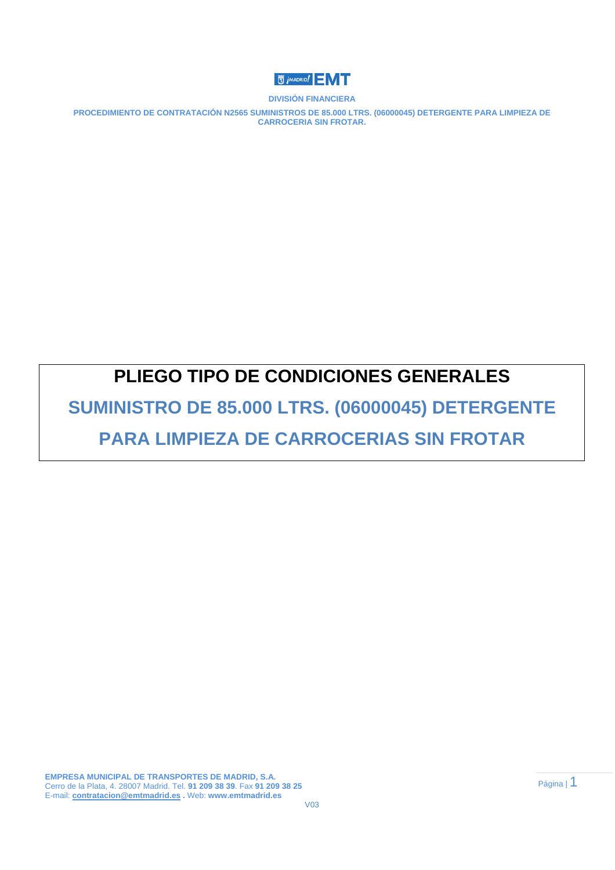

**PROCEDIMIENTO DE CONTRATACIÓN N2565 SUMINISTROS DE 85.000 LTRS. (06000045) DETERGENTE PARA LIMPIEZA DE CARROCERIA SIN FROTAR.** 

## **PLIEGO TIPO DE CONDICIONES GENERALES**

**SUMINISTRO DE 85.000 LTRS. (06000045) DETERGENTE** 

## **PARA LIMPIEZA DE CARROCERIAS SIN FROTAR**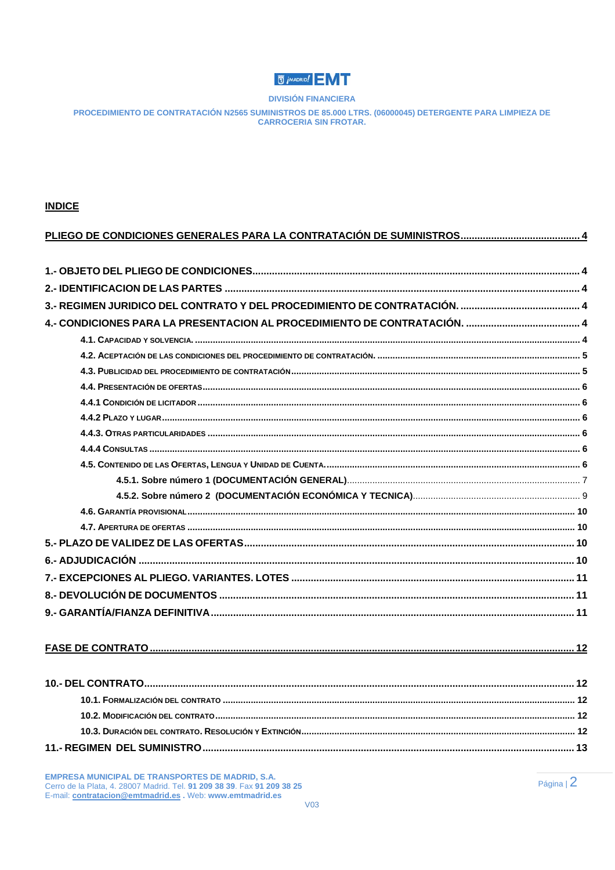## **U** *j* MADRID!

**DIVISIÓN FINANCIERA** 

PROCEDIMIENTO DE CONTRATACIÓN N2565 SUMINISTROS DE 85.000 LTRS. (06000045) DETERGENTE PARA LIMPIEZA DE **CARROCERIA SIN FROTAR.** 

#### **INDICE**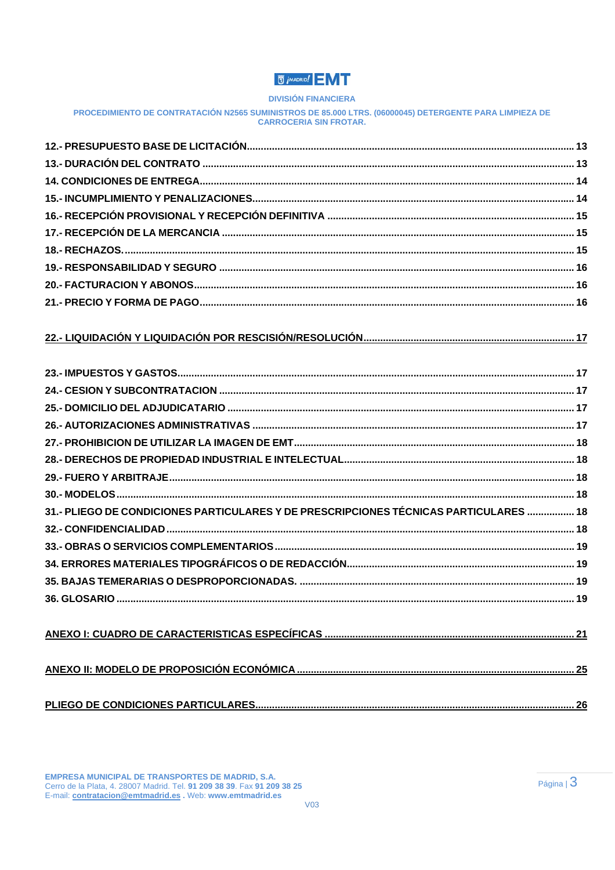## **U** *i* MADRID!

#### **DIVISIÓN FINANCIERA**

#### PROCEDIMIENTO DE CONTRATACIÓN N2565 SUMINISTROS DE 85.000 LTRS. (06000045) DETERGENTE PARA LIMPIEZA DE **CARROCERIA SIN FROTAR.**

| 31.- PLIEGO DE CONDICIONES PARTICULARES Y DE PRESCRIPCIONES TÉCNICAS PARTICULARES  18 |  |
|---------------------------------------------------------------------------------------|--|
|                                                                                       |  |
|                                                                                       |  |
|                                                                                       |  |
|                                                                                       |  |
|                                                                                       |  |
|                                                                                       |  |
|                                                                                       |  |
|                                                                                       |  |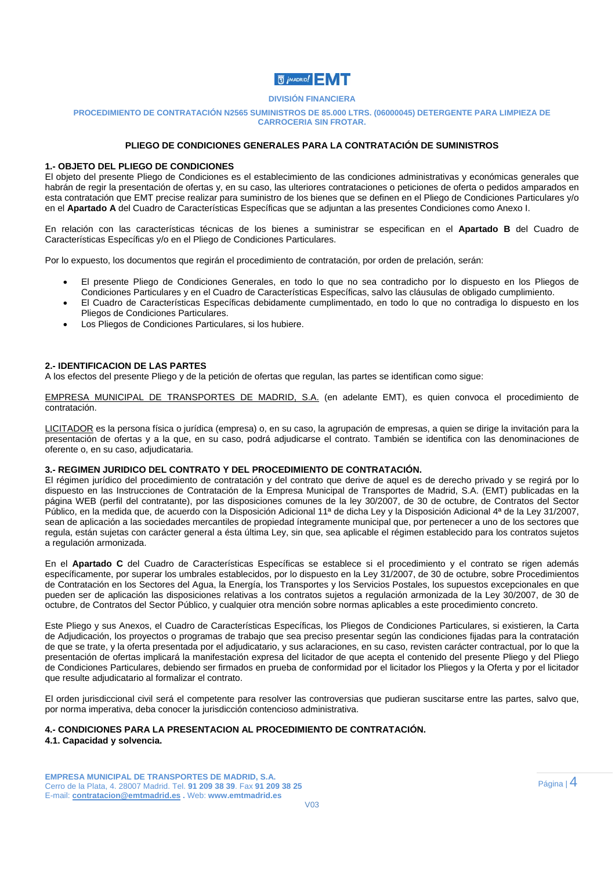

#### **PROCEDIMIENTO DE CONTRATACIÓN N2565 SUMINISTROS DE 85.000 LTRS. (06000045) DETERGENTE PARA LIMPIEZA DE CARROCERIA SIN FROTAR.**

#### **PLIEGO DE CONDICIONES GENERALES PARA LA CONTRATACIÓN DE SUMINISTROS**

#### **1.- OBJETO DEL PLIEGO DE CONDICIONES**

El objeto del presente Pliego de Condiciones es el establecimiento de las condiciones administrativas y económicas generales que habrán de regir la presentación de ofertas y, en su caso, las ulteriores contrataciones o peticiones de oferta o pedidos amparados en esta contratación que EMT precise realizar para suministro de los bienes que se definen en el Pliego de Condiciones Particulares y/o en el **Apartado A** del Cuadro de Características Específicas que se adjuntan a las presentes Condiciones como Anexo I.

En relación con las características técnicas de los bienes a suministrar se especifican en el **Apartado B** del Cuadro de Características Específicas y/o en el Pliego de Condiciones Particulares.

Por lo expuesto, los documentos que regirán el procedimiento de contratación, por orden de prelación, serán:

- El presente Pliego de Condiciones Generales, en todo lo que no sea contradicho por lo dispuesto en los Pliegos de Condiciones Particulares y en el Cuadro de Características Específicas, salvo las cláusulas de obligado cumplimiento.
- El Cuadro de Características Específicas debidamente cumplimentado, en todo lo que no contradiga lo dispuesto en los Pliegos de Condiciones Particulares.
- Los Pliegos de Condiciones Particulares, si los hubiere.

#### **2.- IDENTIFICACION DE LAS PARTES**

A los efectos del presente Pliego y de la petición de ofertas que regulan, las partes se identifican como sigue:

EMPRESA MUNICIPAL DE TRANSPORTES DE MADRID, S.A. (en adelante EMT), es quien convoca el procedimiento de contratación.

LICITADOR es la persona física o jurídica (empresa) o, en su caso, la agrupación de empresas, a quien se dirige la invitación para la presentación de ofertas y a la que, en su caso, podrá adjudicarse el contrato. También se identifica con las denominaciones de oferente o, en su caso, adjudicataria.

#### **3.- REGIMEN JURIDICO DEL CONTRATO Y DEL PROCEDIMIENTO DE CONTRATACIÓN.**

El régimen jurídico del procedimiento de contratación y del contrato que derive de aquel es de derecho privado y se regirá por lo dispuesto en las Instrucciones de Contratación de la Empresa Municipal de Transportes de Madrid, S.A. (EMT) publicadas en la página WEB (perfil del contratante), por las disposiciones comunes de la ley 30/2007, de 30 de octubre, de Contratos del Sector Público, en la medida que, de acuerdo con la Disposición Adicional 11ª de dicha Ley y la Disposición Adicional 4ª de la Ley 31/2007, sean de aplicación a las sociedades mercantiles de propiedad íntegramente municipal que, por pertenecer a uno de los sectores que regula, están sujetas con carácter general a ésta última Ley, sin que, sea aplicable el régimen establecido para los contratos sujetos a regulación armonizada.

En el **Apartado C** del Cuadro de Características Específicas se establece si el procedimiento y el contrato se rigen además específicamente, por superar los umbrales establecidos, por lo dispuesto en la Ley 31/2007, de 30 de octubre, sobre Procedimientos de Contratación en los Sectores del Agua, la Energía, los Transportes y los Servicios Postales, los supuestos excepcionales en que pueden ser de aplicación las disposiciones relativas a los contratos sujetos a regulación armonizada de la Ley 30/2007, de 30 de octubre, de Contratos del Sector Público, y cualquier otra mención sobre normas aplicables a este procedimiento concreto.

Este Pliego y sus Anexos, el Cuadro de Características Específicas, los Pliegos de Condiciones Particulares, si existieren, la Carta de Adjudicación, los proyectos o programas de trabajo que sea preciso presentar según las condiciones fijadas para la contratación de que se trate, y la oferta presentada por el adjudicatario, y sus aclaraciones, en su caso, revisten carácter contractual, por lo que la presentación de ofertas implicará la manifestación expresa del licitador de que acepta el contenido del presente Pliego y del Pliego de Condiciones Particulares, debiendo ser firmados en prueba de conformidad por el licitador los Pliegos y la Oferta y por el licitador que resulte adjudicatario al formalizar el contrato.

El orden jurisdiccional civil será el competente para resolver las controversias que pudieran suscitarse entre las partes, salvo que, por norma imperativa, deba conocer la jurisdicción contencioso administrativa.

#### **4.- CONDICIONES PARA LA PRESENTACION AL PROCEDIMIENTO DE CONTRATACIÓN.**

#### **4.1. Capacidad y solvencia.**

**EMPRESA MUNICIPAL DE TRANSPORTES DE MADRID, S.A.**  Cerro de la Plata, 4. 28007 Madrid. Tel. **91 209 38 39**. Fax **91 209 38 25**  E-mail: **contratacion@emtmadrid.es .** Web: **www.emtmadrid.es**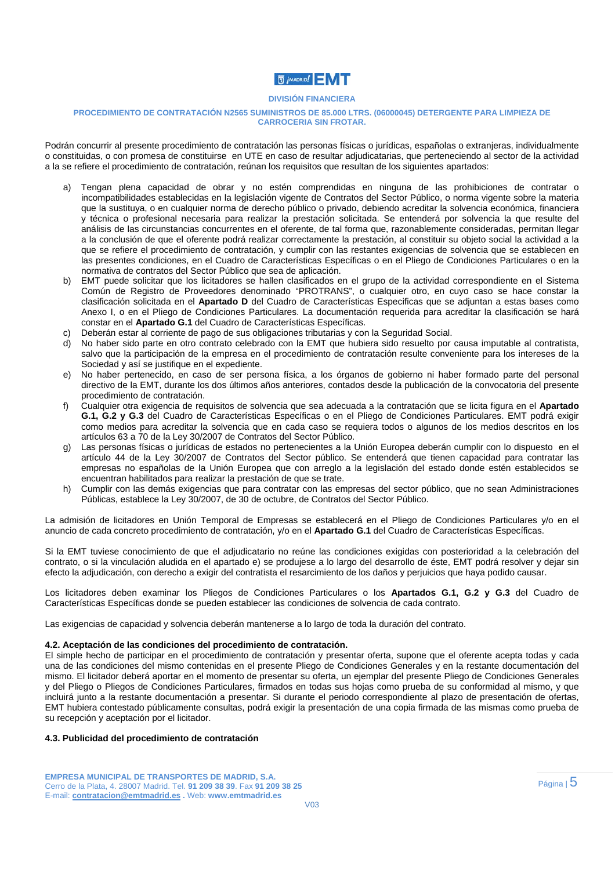## **高 jMADRID!**

#### **DIVISIÓN FINANCIERA**

#### **PROCEDIMIENTO DE CONTRATACIÓN N2565 SUMINISTROS DE 85.000 LTRS. (06000045) DETERGENTE PARA LIMPIEZA DE CARROCERIA SIN FROTAR.**

Podrán concurrir al presente procedimiento de contratación las personas físicas o jurídicas, españolas o extranjeras, individualmente o constituidas, o con promesa de constituirse en UTE en caso de resultar adjudicatarias, que perteneciendo al sector de la actividad a la se refiere el procedimiento de contratación, reúnan los requisitos que resultan de los siguientes apartados:

- a) Tengan plena capacidad de obrar y no estén comprendidas en ninguna de las prohibiciones de contratar o incompatibilidades establecidas en la legislación vigente de Contratos del Sector Público, o norma vigente sobre la materia que la sustituya, o en cualquier norma de derecho público o privado, debiendo acreditar la solvencia económica, financiera y técnica o profesional necesaria para realizar la prestación solicitada. Se entenderá por solvencia la que resulte del análisis de las circunstancias concurrentes en el oferente, de tal forma que, razonablemente consideradas, permitan llegar a la conclusión de que el oferente podrá realizar correctamente la prestación, al constituir su objeto social la actividad a la que se refiere el procedimiento de contratación, y cumplir con las restantes exigencias de solvencia que se establecen en las presentes condiciones, en el Cuadro de Características Específicas o en el Pliego de Condiciones Particulares o en la normativa de contratos del Sector Público que sea de aplicación.
- b) EMT puede solicitar que los licitadores se hallen clasificados en el grupo de la actividad correspondiente en el Sistema Común de Registro de Proveedores denominado "PROTRANS", o cualquier otro, en cuyo caso se hace constar la clasificación solicitada en el **Apartado D** del Cuadro de Características Especificas que se adjuntan a estas bases como Anexo I, o en el Pliego de Condiciones Particulares. La documentación requerida para acreditar la clasificación se hará constar en el **Apartado G.1** del Cuadro de Características Específicas.
- c) Deberán estar al corriente de pago de sus obligaciones tributarias y con la Seguridad Social.<br>d) Do baber sido parte en otro contrato celebrado con la EMT que bubiera sido resuelto por
- d) No haber sido parte en otro contrato celebrado con la EMT que hubiera sido resuelto por causa imputable al contratista, salvo que la participación de la empresa en el procedimiento de contratación resulte conveniente para los intereses de la Sociedad y así se justifique en el expediente.
- e) No haber pertenecido, en caso de ser persona física, a los órganos de gobierno ni haber formado parte del personal directivo de la EMT, durante los dos últimos años anteriores, contados desde la publicación de la convocatoria del presente procedimiento de contratación.
- f) Cualquier otra exigencia de requisitos de solvencia que sea adecuada a la contratación que se licita figura en el **Apartado G.1, G.2 y G.3** del Cuadro de Características Específicas o en el Pliego de Condiciones Particulares. EMT podrá exigir como medios para acreditar la solvencia que en cada caso se requiera todos o algunos de los medios descritos en los artículos 63 a 70 de la Ley 30/2007 de Contratos del Sector Público.
- g) Las personas físicas o jurídicas de estados no pertenecientes a la Unión Europea deberán cumplir con lo dispuesto en el artículo 44 de la Ley 30/2007 de Contratos del Sector público. Se entenderá que tienen capacidad para contratar las empresas no españolas de la Unión Europea que con arreglo a la legislación del estado donde estén establecidos se encuentran habilitados para realizar la prestación de que se trate.
- h) Cumplir con las demás exigencias que para contratar con las empresas del sector público, que no sean Administraciones Públicas, establece la Ley 30/2007, de 30 de octubre, de Contratos del Sector Público.

La admisión de licitadores en Unión Temporal de Empresas se establecerá en el Pliego de Condiciones Particulares y/o en el anuncio de cada concreto procedimiento de contratación, y/o en el **Apartado G.1** del Cuadro de Características Específicas.

Si la EMT tuviese conocimiento de que el adjudicatario no reúne las condiciones exigidas con posterioridad a la celebración del contrato, o si la vinculación aludida en el apartado e) se produjese a lo largo del desarrollo de éste, EMT podrá resolver y dejar sin efecto la adjudicación, con derecho a exigir del contratista el resarcimiento de los daños y perjuicios que haya podido causar.

Los licitadores deben examinar los Pliegos de Condiciones Particulares o los **Apartados G.1, G.2 y G.3** del Cuadro de Características Específicas donde se pueden establecer las condiciones de solvencia de cada contrato.

Las exigencias de capacidad y solvencia deberán mantenerse a lo largo de toda la duración del contrato.

#### **4.2. Aceptación de las condiciones del procedimiento de contratación.**

El simple hecho de participar en el procedimiento de contratación y presentar oferta, supone que el oferente acepta todas y cada una de las condiciones del mismo contenidas en el presente Pliego de Condiciones Generales y en la restante documentación del mismo. El licitador deberá aportar en el momento de presentar su oferta, un ejemplar del presente Pliego de Condiciones Generales y del Pliego o Pliegos de Condiciones Particulares, firmados en todas sus hojas como prueba de su conformidad al mismo, y que incluirá junto a la restante documentación a presentar. Si durante el periodo correspondiente al plazo de presentación de ofertas, EMT hubiera contestado públicamente consultas, podrá exigir la presentación de una copia firmada de las mismas como prueba de su recepción y aceptación por el licitador.

#### **4.3. Publicidad del procedimiento de contratación**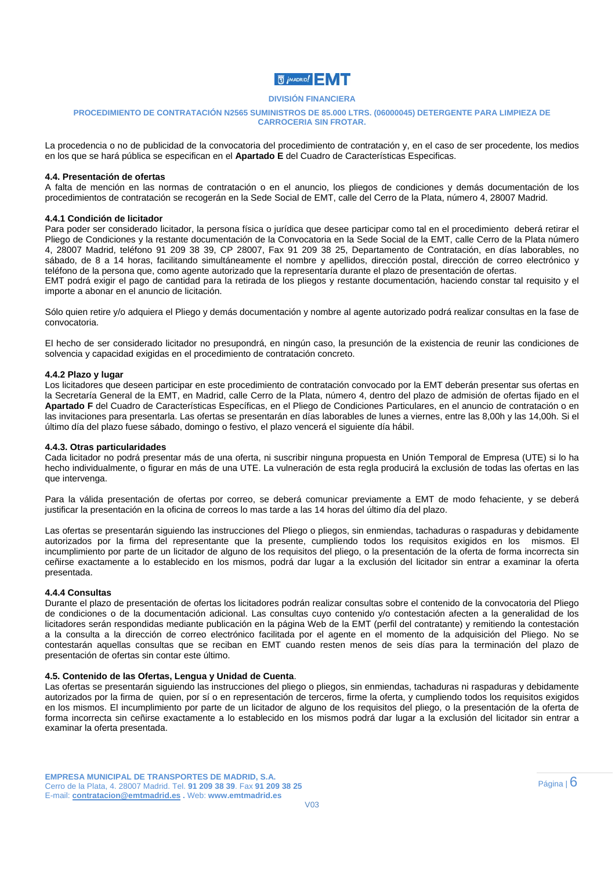## **同jMADRID!**

#### **DIVISIÓN FINANCIERA**

#### **PROCEDIMIENTO DE CONTRATACIÓN N2565 SUMINISTROS DE 85.000 LTRS. (06000045) DETERGENTE PARA LIMPIEZA DE CARROCERIA SIN FROTAR.**

La procedencia o no de publicidad de la convocatoria del procedimiento de contratación y, en el caso de ser procedente, los medios en los que se hará pública se especifican en el **Apartado E** del Cuadro de Características Especificas.

#### **4.4. Presentación de ofertas**

A falta de mención en las normas de contratación o en el anuncio, los pliegos de condiciones y demás documentación de los procedimientos de contratación se recogerán en la Sede Social de EMT, calle del Cerro de la Plata, número 4, 28007 Madrid.

#### **4.4.1 Condición de licitador**

Para poder ser considerado licitador, la persona física o jurídica que desee participar como tal en el procedimiento deberá retirar el Pliego de Condiciones y la restante documentación de la Convocatoria en la Sede Social de la EMT, calle Cerro de la Plata número 4, 28007 Madrid, teléfono 91 209 38 39, CP 28007, Fax 91 209 38 25, Departamento de Contratación, en días laborables, no sábado, de 8 a 14 horas, facilitando simultáneamente el nombre y apellidos, dirección postal, dirección de correo electrónico y teléfono de la persona que, como agente autorizado que la representaría durante el plazo de presentación de ofertas. EMT podrá exigir el pago de cantidad para la retirada de los pliegos y restante documentación, haciendo constar tal requisito y el importe a abonar en el anuncio de licitación.

Sólo quien retire y/o adquiera el Pliego y demás documentación y nombre al agente autorizado podrá realizar consultas en la fase de convocatoria.

El hecho de ser considerado licitador no presupondrá, en ningún caso, la presunción de la existencia de reunir las condiciones de solvencia y capacidad exigidas en el procedimiento de contratación concreto.

#### **4.4.2 Plazo y lugar**

Los licitadores que deseen participar en este procedimiento de contratación convocado por la EMT deberán presentar sus ofertas en la Secretaría General de la EMT, en Madrid, calle Cerro de la Plata, número 4, dentro del plazo de admisión de ofertas fijado en el **Apartado F** del Cuadro de Características Específicas, en el Pliego de Condiciones Particulares, en el anuncio de contratación o en las invitaciones para presentarla. Las ofertas se presentarán en días laborables de lunes a viernes, entre las 8,00h y las 14,00h. Si el último día del plazo fuese sábado, domingo o festivo, el plazo vencerá el siguiente día hábil.

#### **4.4.3. Otras particularidades**

Cada licitador no podrá presentar más de una oferta, ni suscribir ninguna propuesta en Unión Temporal de Empresa (UTE) si lo ha hecho individualmente, o figurar en más de una UTE. La vulneración de esta regla producirá la exclusión de todas las ofertas en las que intervenga.

Para la válida presentación de ofertas por correo, se deberá comunicar previamente a EMT de modo fehaciente, y se deberá justificar la presentación en la oficina de correos lo mas tarde a las 14 horas del último día del plazo.

Las ofertas se presentarán siguiendo las instrucciones del Pliego o pliegos, sin enmiendas, tachaduras o raspaduras y debidamente autorizados por la firma del representante que la presente, cumpliendo todos los requisitos exigidos en los mismos. El incumplimiento por parte de un licitador de alguno de los requisitos del pliego, o la presentación de la oferta de forma incorrecta sin ceñirse exactamente a lo establecido en los mismos, podrá dar lugar a la exclusión del licitador sin entrar a examinar la oferta presentada.

#### **4.4.4 Consultas**

Durante el plazo de presentación de ofertas los licitadores podrán realizar consultas sobre el contenido de la convocatoria del Pliego de condiciones o de la documentación adicional. Las consultas cuyo contenido y/o contestación afecten a la generalidad de los licitadores serán respondidas mediante publicación en la página Web de la EMT (perfil del contratante) y remitiendo la contestación a la consulta a la dirección de correo electrónico facilitada por el agente en el momento de la adquisición del Pliego. No se contestarán aquellas consultas que se reciban en EMT cuando resten menos de seis días para la terminación del plazo de presentación de ofertas sin contar este último.

#### **4.5. Contenido de las Ofertas, Lengua y Unidad de Cuenta**.

Las ofertas se presentarán siguiendo las instrucciones del pliego o pliegos, sin enmiendas, tachaduras ni raspaduras y debidamente autorizados por la firma de quien, por sí o en representación de terceros, firme la oferta, y cumpliendo todos los requisitos exigidos en los mismos. El incumplimiento por parte de un licitador de alguno de los requisitos del pliego, o la presentación de la oferta de forma incorrecta sin ceñirse exactamente a lo establecido en los mismos podrá dar lugar a la exclusión del licitador sin entrar a examinar la oferta presentada.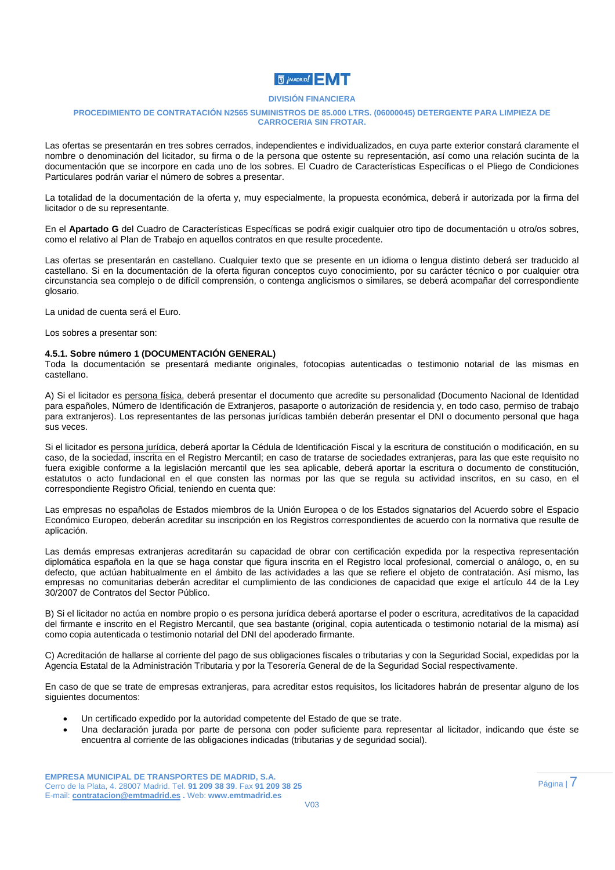## **N** *j* MADRID! N

#### **DIVISIÓN FINANCIERA**

#### **PROCEDIMIENTO DE CONTRATACIÓN N2565 SUMINISTROS DE 85.000 LTRS. (06000045) DETERGENTE PARA LIMPIEZA DE CARROCERIA SIN FROTAR.**

Las ofertas se presentarán en tres sobres cerrados, independientes e individualizados, en cuya parte exterior constará claramente el nombre o denominación del licitador, su firma o de la persona que ostente su representación, así como una relación sucinta de la documentación que se incorpore en cada uno de los sobres. El Cuadro de Características Específicas o el Pliego de Condiciones Particulares podrán variar el número de sobres a presentar.

La totalidad de la documentación de la oferta y, muy especialmente, la propuesta económica, deberá ir autorizada por la firma del licitador o de su representante.

En el **Apartado G** del Cuadro de Características Específicas se podrá exigir cualquier otro tipo de documentación u otro/os sobres, como el relativo al Plan de Trabajo en aquellos contratos en que resulte procedente.

Las ofertas se presentarán en castellano. Cualquier texto que se presente en un idioma o lengua distinto deberá ser traducido al castellano. Si en la documentación de la oferta figuran conceptos cuyo conocimiento, por su carácter técnico o por cualquier otra circunstancia sea complejo o de difícil comprensión, o contenga anglicismos o similares, se deberá acompañar del correspondiente glosario.

La unidad de cuenta será el Euro.

Los sobres a presentar son:

#### **4.5.1. Sobre número 1 (DOCUMENTACIÓN GENERAL)**

Toda la documentación se presentará mediante originales, fotocopias autenticadas o testimonio notarial de las mismas en castellano.

A) Si el licitador es persona física, deberá presentar el documento que acredite su personalidad (Documento Nacional de Identidad para españoles, Número de Identificación de Extranjeros, pasaporte o autorización de residencia y, en todo caso, permiso de trabajo para extranjeros). Los representantes de las personas jurídicas también deberán presentar el DNI o documento personal que haga sus veces.

Si el licitador es persona jurídica, deberá aportar la Cédula de Identificación Fiscal y la escritura de constitución o modificación, en su caso, de la sociedad, inscrita en el Registro Mercantil; en caso de tratarse de sociedades extranjeras, para las que este requisito no fuera exigible conforme a la legislación mercantil que les sea aplicable, deberá aportar la escritura o documento de constitución, estatutos o acto fundacional en el que consten las normas por las que se regula su actividad inscritos, en su caso, en el correspondiente Registro Oficial, teniendo en cuenta que:

Las empresas no españolas de Estados miembros de la Unión Europea o de los Estados signatarios del Acuerdo sobre el Espacio Económico Europeo, deberán acreditar su inscripción en los Registros correspondientes de acuerdo con la normativa que resulte de aplicación.

Las demás empresas extranjeras acreditarán su capacidad de obrar con certificación expedida por la respectiva representación diplomática española en la que se haga constar que figura inscrita en el Registro local profesional, comercial o análogo, o, en su defecto, que actúan habitualmente en el ámbito de las actividades a las que se refiere el objeto de contratación. Así mismo, las empresas no comunitarias deberán acreditar el cumplimiento de las condiciones de capacidad que exige el artículo 44 de la Ley 30/2007 de Contratos del Sector Público.

B) Si el licitador no actúa en nombre propio o es persona jurídica deberá aportarse el poder o escritura, acreditativos de la capacidad del firmante e inscrito en el Registro Mercantil, que sea bastante (original, copia autenticada o testimonio notarial de la misma) así como copia autenticada o testimonio notarial del DNI del apoderado firmante.

C) Acreditación de hallarse al corriente del pago de sus obligaciones fiscales o tributarias y con la Seguridad Social, expedidas por la Agencia Estatal de la Administración Tributaria y por la Tesorería General de de la Seguridad Social respectivamente.

En caso de que se trate de empresas extranjeras, para acreditar estos requisitos, los licitadores habrán de presentar alguno de los siguientes documentos:

- Un certificado expedido por la autoridad competente del Estado de que se trate.
- Una declaración jurada por parte de persona con poder suficiente para representar al licitador, indicando que éste se encuentra al corriente de las obligaciones indicadas (tributarias y de seguridad social).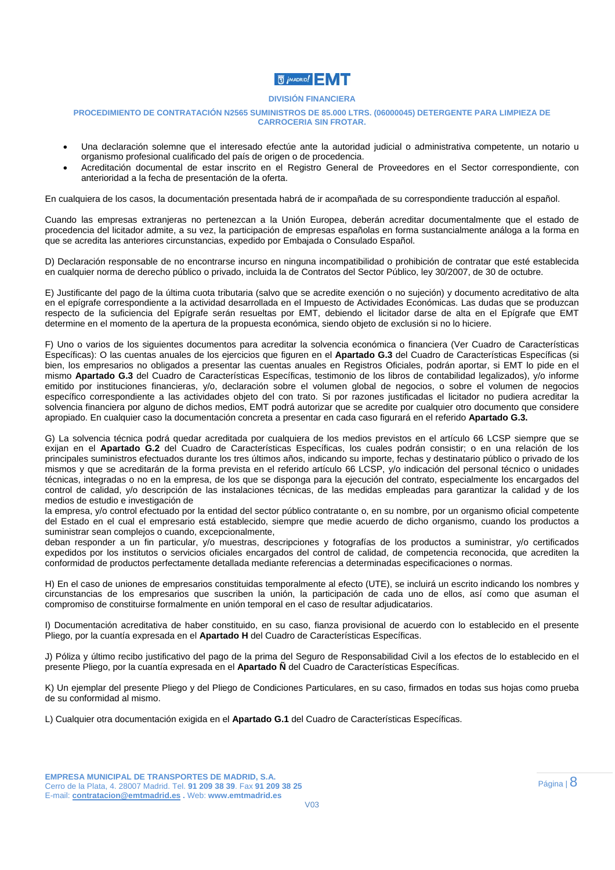### **高 jMADRID!**

#### **DIVISIÓN FINANCIERA**

#### **PROCEDIMIENTO DE CONTRATACIÓN N2565 SUMINISTROS DE 85.000 LTRS. (06000045) DETERGENTE PARA LIMPIEZA DE CARROCERIA SIN FROTAR.**

- Una declaración solemne que el interesado efectúe ante la autoridad judicial o administrativa competente, un notario u organismo profesional cualificado del país de origen o de procedencia.
- Acreditación documental de estar inscrito en el Registro General de Proveedores en el Sector correspondiente, con anterioridad a la fecha de presentación de la oferta.

En cualquiera de los casos, la documentación presentada habrá de ir acompañada de su correspondiente traducción al español.

Cuando las empresas extranjeras no pertenezcan a la Unión Europea, deberán acreditar documentalmente que el estado de procedencia del licitador admite, a su vez, la participación de empresas españolas en forma sustancialmente análoga a la forma en que se acredita las anteriores circunstancias, expedido por Embajada o Consulado Español.

D) Declaración responsable de no encontrarse incurso en ninguna incompatibilidad o prohibición de contratar que esté establecida en cualquier norma de derecho público o privado, incluida la de Contratos del Sector Público, ley 30/2007, de 30 de octubre.

E) Justificante del pago de la última cuota tributaria (salvo que se acredite exención o no sujeción) y documento acreditativo de alta en el epígrafe correspondiente a la actividad desarrollada en el Impuesto de Actividades Económicas. Las dudas que se produzcan respecto de la suficiencia del Epígrafe serán resueltas por EMT, debiendo el licitador darse de alta en el Epígrafe que EMT determine en el momento de la apertura de la propuesta económica, siendo objeto de exclusión si no lo hiciere.

F) Uno o varios de los siguientes documentos para acreditar la solvencia económica o financiera (Ver Cuadro de Características Específicas): O las cuentas anuales de los ejercicios que figuren en el **Apartado G.3** del Cuadro de Características Específicas (si bien, los empresarios no obligados a presentar las cuentas anuales en Registros Oficiales, podrán aportar, si EMT lo pide en el mismo **Apartado G.3** del Cuadro de Características Específicas, testimonio de los libros de contabilidad legalizados), y/o informe emitido por instituciones financieras, y/o, declaración sobre el volumen global de negocios, o sobre el volumen de negocios específico correspondiente a las actividades objeto del con trato. Si por razones justificadas el licitador no pudiera acreditar la solvencia financiera por alguno de dichos medios, EMT podrá autorizar que se acredite por cualquier otro documento que considere apropiado. En cualquier caso la documentación concreta a presentar en cada caso figurará en el referido **Apartado G.3.** 

G) La solvencia técnica podrá quedar acreditada por cualquiera de los medios previstos en el artículo 66 LCSP siempre que se exijan en el **Apartado G.2** del Cuadro de Características Específicas, los cuales podrán consistir; o en una relación de los principales suministros efectuados durante los tres últimos años, indicando su importe, fechas y destinatario público o privado de los mismos y que se acreditarán de la forma prevista en el referido artículo 66 LCSP, y/o indicación del personal técnico o unidades técnicas, integradas o no en la empresa, de los que se disponga para la ejecución del contrato, especialmente los encargados del control de calidad, y/o descripción de las instalaciones técnicas, de las medidas empleadas para garantizar la calidad y de los medios de estudio e investigación de

la empresa, y/o control efectuado por la entidad del sector público contratante o, en su nombre, por un organismo oficial competente del Estado en el cual el empresario está establecido, siempre que medie acuerdo de dicho organismo, cuando los productos a suministrar sean complejos o cuando, excepcionalmente,

deban responder a un fin particular, y/o muestras, descripciones y fotografías de los productos a suministrar, y/o certificados expedidos por los institutos o servicios oficiales encargados del control de calidad, de competencia reconocida, que acrediten la conformidad de productos perfectamente detallada mediante referencias a determinadas especificaciones o normas.

H) En el caso de uniones de empresarios constituidas temporalmente al efecto (UTE), se incluirá un escrito indicando los nombres y circunstancias de los empresarios que suscriben la unión, la participación de cada uno de ellos, así como que asuman el compromiso de constituirse formalmente en unión temporal en el caso de resultar adjudicatarios.

I) Documentación acreditativa de haber constituido, en su caso, fianza provisional de acuerdo con lo establecido en el presente Pliego, por la cuantía expresada en el **Apartado H** del Cuadro de Características Específicas.

J) Póliza y último recibo justificativo del pago de la prima del Seguro de Responsabilidad Civil a los efectos de lo establecido en el presente Pliego, por la cuantía expresada en el **Apartado Ñ** del Cuadro de Características Específicas.

K) Un ejemplar del presente Pliego y del Pliego de Condiciones Particulares, en su caso, firmados en todas sus hojas como prueba de su conformidad al mismo.

L) Cualquier otra documentación exigida en el **Apartado G.1** del Cuadro de Características Específicas.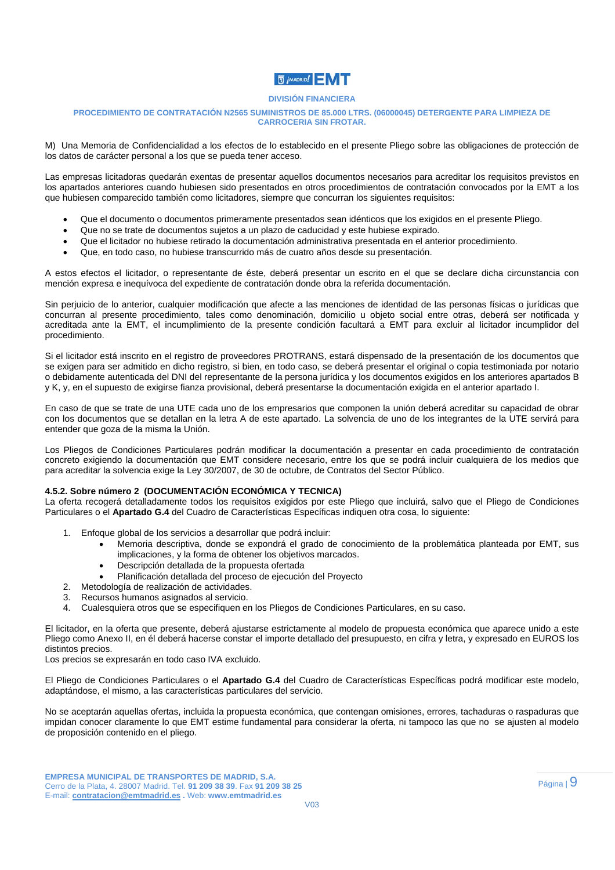## **同jMADRID!**

#### **DIVISIÓN FINANCIERA**

#### **PROCEDIMIENTO DE CONTRATACIÓN N2565 SUMINISTROS DE 85.000 LTRS. (06000045) DETERGENTE PARA LIMPIEZA DE CARROCERIA SIN FROTAR.**

M) Una Memoria de Confidencialidad a los efectos de lo establecido en el presente Pliego sobre las obligaciones de protección de los datos de carácter personal a los que se pueda tener acceso.

Las empresas licitadoras quedarán exentas de presentar aquellos documentos necesarios para acreditar los requisitos previstos en los apartados anteriores cuando hubiesen sido presentados en otros procedimientos de contratación convocados por la EMT a los que hubiesen comparecido también como licitadores, siempre que concurran los siguientes requisitos:

- Que el documento o documentos primeramente presentados sean idénticos que los exigidos en el presente Pliego.
- Que no se trate de documentos sujetos a un plazo de caducidad y este hubiese expirado.
- Que el licitador no hubiese retirado la documentación administrativa presentada en el anterior procedimiento.
- Que, en todo caso, no hubiese transcurrido más de cuatro años desde su presentación.

A estos efectos el licitador, o representante de éste, deberá presentar un escrito en el que se declare dicha circunstancia con mención expresa e inequívoca del expediente de contratación donde obra la referida documentación.

Sin perjuicio de lo anterior, cualquier modificación que afecte a las menciones de identidad de las personas físicas o jurídicas que concurran al presente procedimiento, tales como denominación, domicilio u objeto social entre otras, deberá ser notificada y acreditada ante la EMT, el incumplimiento de la presente condición facultará a EMT para excluir al licitador incumplidor del procedimiento.

Si el licitador está inscrito en el registro de proveedores PROTRANS, estará dispensado de la presentación de los documentos que se exigen para ser admitido en dicho registro, si bien, en todo caso, se deberá presentar el original o copia testimoniada por notario o debidamente autenticada del DNI del representante de la persona jurídica y los documentos exigidos en los anteriores apartados B y K, y, en el supuesto de exigirse fianza provisional, deberá presentarse la documentación exigida en el anterior apartado I.

En caso de que se trate de una UTE cada uno de los empresarios que componen la unión deberá acreditar su capacidad de obrar con los documentos que se detallan en la letra A de este apartado. La solvencia de uno de los integrantes de la UTE servirá para entender que goza de la misma la Unión.

Los Pliegos de Condiciones Particulares podrán modificar la documentación a presentar en cada procedimiento de contratación concreto exigiendo la documentación que EMT considere necesario, entre los que se podrá incluir cualquiera de los medios que para acreditar la solvencia exige la Ley 30/2007, de 30 de octubre, de Contratos del Sector Público.

#### **4.5.2. Sobre número 2 (DOCUMENTACIÓN ECONÓMICA Y TECNICA)**

La oferta recogerá detalladamente todos los requisitos exigidos por este Pliego que incluirá, salvo que el Pliego de Condiciones Particulares o el **Apartado G.4** del Cuadro de Características Específicas indiquen otra cosa, lo siguiente:

- 1. Enfoque global de los servicios a desarrollar que podrá incluir:
	- Memoria descriptiva, donde se expondrá el grado de conocimiento de la problemática planteada por EMT, sus implicaciones, y la forma de obtener los objetivos marcados.
	- Descripción detallada de la propuesta ofertada
	- Planificación detallada del proceso de ejecución del Proyecto
- 2. Metodología de realización de actividades.
- 3. Recursos humanos asignados al servicio.
- 4. Cualesquiera otros que se especifiquen en los Pliegos de Condiciones Particulares, en su caso.

El licitador, en la oferta que presente, deberá ajustarse estrictamente al modelo de propuesta económica que aparece unido a este Pliego como Anexo II, en él deberá hacerse constar el importe detallado del presupuesto, en cifra y letra, y expresado en EUROS los distintos precios.

Los precios se expresarán en todo caso IVA excluido.

El Pliego de Condiciones Particulares o el **Apartado G.4** del Cuadro de Características Específicas podrá modificar este modelo, adaptándose, el mismo, a las características particulares del servicio.

No se aceptarán aquellas ofertas, incluida la propuesta económica, que contengan omisiones, errores, tachaduras o raspaduras que impidan conocer claramente lo que EMT estime fundamental para considerar la oferta, ni tampoco las que no se ajusten al modelo de proposición contenido en el pliego.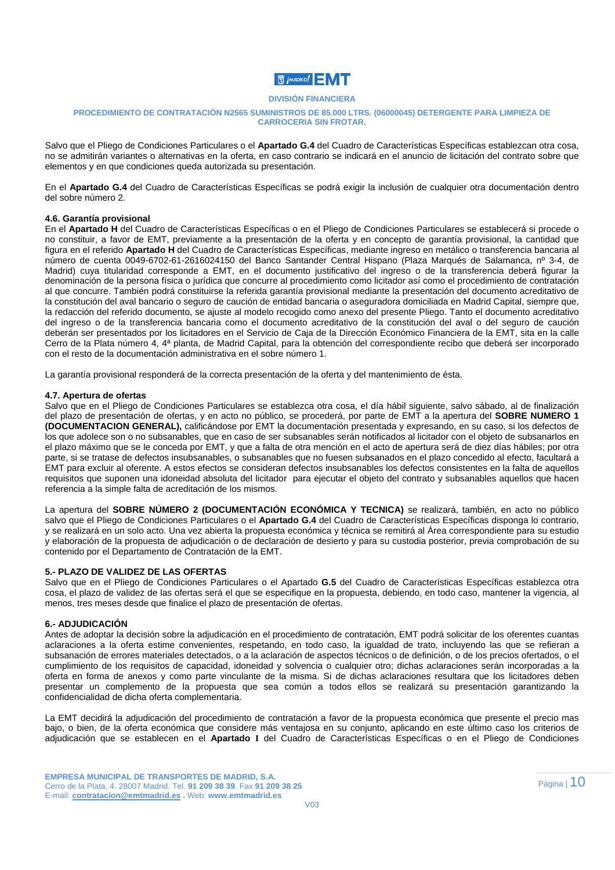

#### **PROCEDIMIENTO DE CONTRATACIÓN N2565 SUMINISTROS DE 85.000 LTRS. (06000045) DETERGENTE PARA LIMPIEZA DE CARROCERIA SIN FROTAR.**

Salvo que el Pliego de Condiciones Particulares o el **Apartado G.4** del Cuadro de Características Específicas establezcan otra cosa, no se admitirán variantes o alternativas en la oferta, en caso contrario se indicará en el anuncio de licitación del contrato sobre que elementos y en que condiciones queda autorizada su presentación.

En el **Apartado G.4** del Cuadro de Características Específicas se podrá exigir la inclusión de cualquier otra documentación dentro del sobre número 2.

#### **4.6. Garantía provisional**

En el **Apartado H** del Cuadro de Características Específicas o en el Pliego de Condiciones Particulares se establecerá si procede o no constituir, a favor de EMT, previamente a la presentación de la oferta y en concepto de garantía provisional, la cantidad que figura en el referido **Apartado H** del Cuadro de Características Específicas, mediante ingreso en metálico o transferencia bancaria al número de cuenta 0049-6702-61-2616024150 del Banco Santander Central Hispano (Plaza Marqués de Salamanca, nº 3-4, de Madrid) cuya titularidad corresponde a EMT, en el documento justificativo del ingreso o de la transferencia deberá figurar la denominación de la persona física o jurídica que concurre al procedimiento como licitador así como el procedimiento de contratación al que concurre. También podrá constituirse la referida garantía provisional mediante la presentación del documento acreditativo de la constitución del aval bancario o seguro de caución de entidad bancaria o aseguradora domiciliada en Madrid Capital, siempre que, la redacción del referido documento, se ajuste al modelo recogido como anexo del presente Pliego. Tanto el documento acreditativo del ingreso o de la transferencia bancaria como el documento acreditativo de la constitución del aval o del seguro de caución deberán ser presentados por los licitadores en el Servicio de Caja de la Dirección Económico Financiera de la EMT, sita en la calle Cerro de la Plata número 4, 4ª planta, de Madrid Capital, para la obtención del correspondiente recibo que deberá ser incorporado con el resto de la documentación administrativa en el sobre número 1.

La garantía provisional responderá de la correcta presentación de la oferta y del mantenimiento de ésta.

#### **4.7. Apertura de ofertas**

Salvo que en el Pliego de Condiciones Particulares se establezca otra cosa, el día hábil siguiente, salvo sábado, al de finalización del plazo de presentación de ofertas, y en acto no público, se procederá, por parte de EMT a la apertura del **SOBRE NUMERO 1 (DOCUMENTACION GENERAL),** calificándose por EMT la documentación presentada y expresando, en su caso, si los defectos de los que adolece son o no subsanables, que en caso de ser subsanables serán notificados al licitador con el objeto de subsanarlos en el plazo máximo que se le conceda por EMT, y que a falta de otra mención en el acto de apertura será de diez días hábiles; por otra parte, si se tratase de defectos insubsanables, o subsanables que no fuesen subsanados en el plazo concedido al efecto, facultará a EMT para excluir al oferente. A estos efectos se consideran defectos insubsanables los defectos consistentes en la falta de aquellos requisitos que suponen una idoneidad absoluta del licitador para ejecutar el objeto del contrato y subsanables aquellos que hacen referencia a la simple falta de acreditación de los mismos.

La apertura del **SOBRE NÚMERO 2 (DOCUMENTACIÓN ECONÓMICA Y TECNICA)** se realizará, también, en acto no público salvo que el Pliego de Condiciones Particulares o el **Apartado G.4** del Cuadro de Características Específicas disponga lo contrario, y se realizará en un solo acto. Una vez abierta la propuesta económica y técnica se remitirá al Área correspondiente para su estudio y elaboración de la propuesta de adjudicación o de declaración de desierto y para su custodia posterior, previa comprobación de su contenido por el Departamento de Contratación de la EMT.

#### **5.- PLAZO DE VALIDEZ DE LAS OFERTAS**

Salvo que en el Pliego de Condiciones Particulares o el Apartado **G.5** del Cuadro de Características Específicas establezca otra cosa, el plazo de validez de las ofertas será el que se especifique en la propuesta, debiendo, en todo caso, mantener la vigencia, al menos, tres meses desde que finalice el plazo de presentación de ofertas.

#### **6.- ADJUDICACIÓN**

Antes de adoptar la decisión sobre la adjudicación en el procedimiento de contratación, EMT podrá solicitar de los oferentes cuantas aclaraciones a la oferta estime convenientes, respetando, en todo caso, la igualdad de trato, incluyendo las que se refieran a subsanación de errores materiales detectados, o a la aclaración de aspectos técnicos o de definición, o de los precios ofertados, o el cumplimiento de los requisitos de capacidad, idoneidad y solvencia o cualquier otro; dichas aclaraciones serán incorporadas a la oferta en forma de anexos y como parte vinculante de la misma. Si de dichas aclaraciones resultara que los licitadores deben presentar un complemento de la propuesta que sea común a todos ellos se realizará su presentación garantizando la confidencialidad de dicha oferta complementaria.

La EMT decidirá la adjudicación del procedimiento de contratación a favor de la propuesta económica que presente el precio mas bajo, o bien, de la oferta económica que considere más ventajosa en su conjunto, aplicando en este último caso los criterios de adjudicación que se establecen en el **Apartado I** del Cuadro de Características Específicas o en el Pliego de Condiciones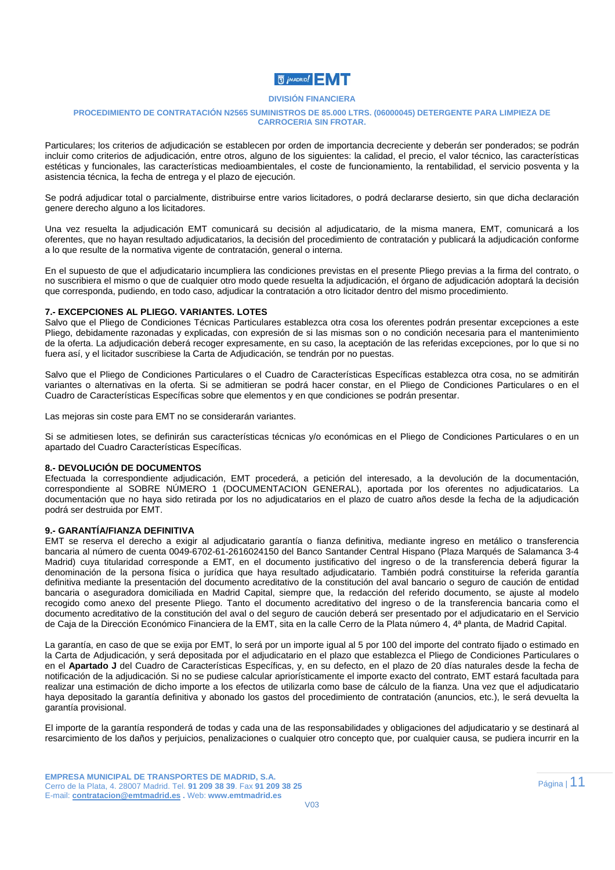

#### **PROCEDIMIENTO DE CONTRATACIÓN N2565 SUMINISTROS DE 85.000 LTRS. (06000045) DETERGENTE PARA LIMPIEZA DE CARROCERIA SIN FROTAR.**

Particulares; los criterios de adjudicación se establecen por orden de importancia decreciente y deberán ser ponderados; se podrán incluir como criterios de adjudicación, entre otros, alguno de los siguientes: la calidad, el precio, el valor técnico, las características estéticas y funcionales, las características medioambientales, el coste de funcionamiento, la rentabilidad, el servicio posventa y la asistencia técnica, la fecha de entrega y el plazo de ejecución.

Se podrá adjudicar total o parcialmente, distribuirse entre varios licitadores, o podrá declararse desierto, sin que dicha declaración genere derecho alguno a los licitadores.

Una vez resuelta la adjudicación EMT comunicará su decisión al adjudicatario, de la misma manera, EMT, comunicará a los oferentes, que no hayan resultado adjudicatarios, la decisión del procedimiento de contratación y publicará la adjudicación conforme a lo que resulte de la normativa vigente de contratación, general o interna.

En el supuesto de que el adjudicatario incumpliera las condiciones previstas en el presente Pliego previas a la firma del contrato, o no suscribiera el mismo o que de cualquier otro modo quede resuelta la adjudicación, el órgano de adjudicación adoptará la decisión que corresponda, pudiendo, en todo caso, adjudicar la contratación a otro licitador dentro del mismo procedimiento.

#### **7.- EXCEPCIONES AL PLIEGO. VARIANTES. LOTES**

Salvo que el Pliego de Condiciones Técnicas Particulares establezca otra cosa los oferentes podrán presentar excepciones a este Pliego, debidamente razonadas y explicadas, con expresión de si las mismas son o no condición necesaria para el mantenimiento de la oferta. La adjudicación deberá recoger expresamente, en su caso, la aceptación de las referidas excepciones, por lo que si no fuera así, y el licitador suscribiese la Carta de Adjudicación, se tendrán por no puestas.

Salvo que el Pliego de Condiciones Particulares o el Cuadro de Características Específicas establezca otra cosa, no se admitirán variantes o alternativas en la oferta. Si se admitieran se podrá hacer constar, en el Pliego de Condiciones Particulares o en el Cuadro de Características Específicas sobre que elementos y en que condiciones se podrán presentar.

Las mejoras sin coste para EMT no se considerarán variantes.

Si se admitiesen lotes, se definirán sus características técnicas y/o económicas en el Pliego de Condiciones Particulares o en un apartado del Cuadro Características Específicas.

#### **8.- DEVOLUCIÓN DE DOCUMENTOS**

Efectuada la correspondiente adjudicación, EMT procederá, a petición del interesado, a la devolución de la documentación, correspondiente al SOBRE NÚMERO 1 (DOCUMENTACION GENERAL), aportada por los oferentes no adjudicatarios. La documentación que no haya sido retirada por los no adjudicatarios en el plazo de cuatro años desde la fecha de la adjudicación podrá ser destruida por EMT.

#### **9.- GARANTÍA/FIANZA DEFINITIVA**

EMT se reserva el derecho a exigir al adjudicatario garantía o fianza definitiva, mediante ingreso en metálico o transferencia bancaria al número de cuenta 0049-6702-61-2616024150 del Banco Santander Central Hispano (Plaza Marqués de Salamanca 3-4 Madrid) cuya titularidad corresponde a EMT, en el documento justificativo del ingreso o de la transferencia deberá figurar la denominación de la persona física o jurídica que haya resultado adjudicatario. También podrá constituirse la referida garantía definitiva mediante la presentación del documento acreditativo de la constitución del aval bancario o seguro de caución de entidad bancaria o aseguradora domiciliada en Madrid Capital, siempre que, la redacción del referido documento, se ajuste al modelo recogido como anexo del presente Pliego. Tanto el documento acreditativo del ingreso o de la transferencia bancaria como el documento acreditativo de la constitución del aval o del seguro de caución deberá ser presentado por el adjudicatario en el Servicio de Caja de la Dirección Económico Financiera de la EMT, sita en la calle Cerro de la Plata número 4, 4ª planta, de Madrid Capital.

La garantía, en caso de que se exija por EMT, lo será por un importe igual al 5 por 100 del importe del contrato fijado o estimado en la Carta de Adjudicación, y será depositada por el adjudicatario en el plazo que establezca el Pliego de Condiciones Particulares o en el **Apartado J** del Cuadro de Características Específicas, y, en su defecto, en el plazo de 20 días naturales desde la fecha de notificación de la adjudicación. Si no se pudiese calcular apriorísticamente el importe exacto del contrato, EMT estará facultada para realizar una estimación de dicho importe a los efectos de utilizarla como base de cálculo de la fianza. Una vez que el adjudicatario haya depositado la garantía definitiva y abonado los gastos del procedimiento de contratación (anuncios, etc.), le será devuelta la garantía provisional.

El importe de la garantía responderá de todas y cada una de las responsabilidades y obligaciones del adjudicatario y se destinará al resarcimiento de los daños y perjuicios, penalizaciones o cualquier otro concepto que, por cualquier causa, se pudiera incurrir en la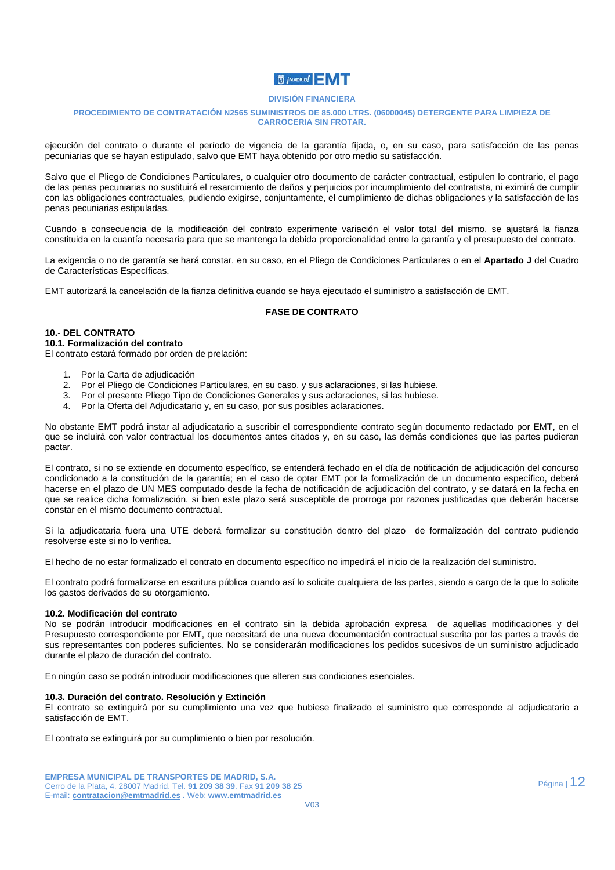## **同jMADRID!**

#### **DIVISIÓN FINANCIERA**

#### **PROCEDIMIENTO DE CONTRATACIÓN N2565 SUMINISTROS DE 85.000 LTRS. (06000045) DETERGENTE PARA LIMPIEZA DE CARROCERIA SIN FROTAR.**

ejecución del contrato o durante el período de vigencia de la garantía fijada, o, en su caso, para satisfacción de las penas pecuniarias que se hayan estipulado, salvo que EMT haya obtenido por otro medio su satisfacción.

Salvo que el Pliego de Condiciones Particulares, o cualquier otro documento de carácter contractual, estipulen lo contrario, el pago de las penas pecuniarias no sustituirá el resarcimiento de daños y perjuicios por incumplimiento del contratista, ni eximirá de cumplir con las obligaciones contractuales, pudiendo exigirse, conjuntamente, el cumplimiento de dichas obligaciones y la satisfacción de las penas pecuniarias estipuladas.

Cuando a consecuencia de la modificación del contrato experimente variación el valor total del mismo, se ajustará la fianza constituida en la cuantía necesaria para que se mantenga la debida proporcionalidad entre la garantía y el presupuesto del contrato.

La exigencia o no de garantía se hará constar, en su caso, en el Pliego de Condiciones Particulares o en el **Apartado J** del Cuadro de Características Específicas.

EMT autorizará la cancelación de la fianza definitiva cuando se haya ejecutado el suministro a satisfacción de EMT.

#### **FASE DE CONTRATO**

#### **10.- DEL CONTRATO**

**10.1. Formalización del contrato** 

El contrato estará formado por orden de prelación:

- 1. Por la Carta de adjudicación
- 2. Por el Pliego de Condiciones Particulares, en su caso, y sus aclaraciones, si las hubiese.
- 3. Por el presente Pliego Tipo de Condiciones Generales y sus aclaraciones, si las hubiese.
- 4. Por la Oferta del Adjudicatario y, en su caso, por sus posibles aclaraciones.

No obstante EMT podrá instar al adjudicatario a suscribir el correspondiente contrato según documento redactado por EMT, en el que se incluirá con valor contractual los documentos antes citados y, en su caso, las demás condiciones que las partes pudieran pactar.

El contrato, si no se extiende en documento específico, se entenderá fechado en el día de notificación de adjudicación del concurso condicionado a la constitución de la garantía; en el caso de optar EMT por la formalización de un documento específico, deberá hacerse en el plazo de UN MES computado desde la fecha de notificación de adjudicación del contrato, y se datará en la fecha en que se realice dicha formalización, si bien este plazo será susceptible de prorroga por razones justificadas que deberán hacerse constar en el mismo documento contractual.

Si la adjudicataria fuera una UTE deberá formalizar su constitución dentro del plazo de formalización del contrato pudiendo resolverse este si no lo verifica.

El hecho de no estar formalizado el contrato en documento específico no impedirá el inicio de la realización del suministro.

El contrato podrá formalizarse en escritura pública cuando así lo solicite cualquiera de las partes, siendo a cargo de la que lo solicite los gastos derivados de su otorgamiento.

#### **10.2. Modificación del contrato**

No se podrán introducir modificaciones en el contrato sin la debida aprobación expresa de aquellas modificaciones y del Presupuesto correspondiente por EMT, que necesitará de una nueva documentación contractual suscrita por las partes a través de sus representantes con poderes suficientes. No se considerarán modificaciones los pedidos sucesivos de un suministro adjudicado durante el plazo de duración del contrato.

En ningún caso se podrán introducir modificaciones que alteren sus condiciones esenciales.

#### **10.3. Duración del contrato. Resolución y Extinción**

El contrato se extinguirá por su cumplimiento una vez que hubiese finalizado el suministro que corresponde al adjudicatario a satisfacción de EMT.

El contrato se extinguirá por su cumplimiento o bien por resolución.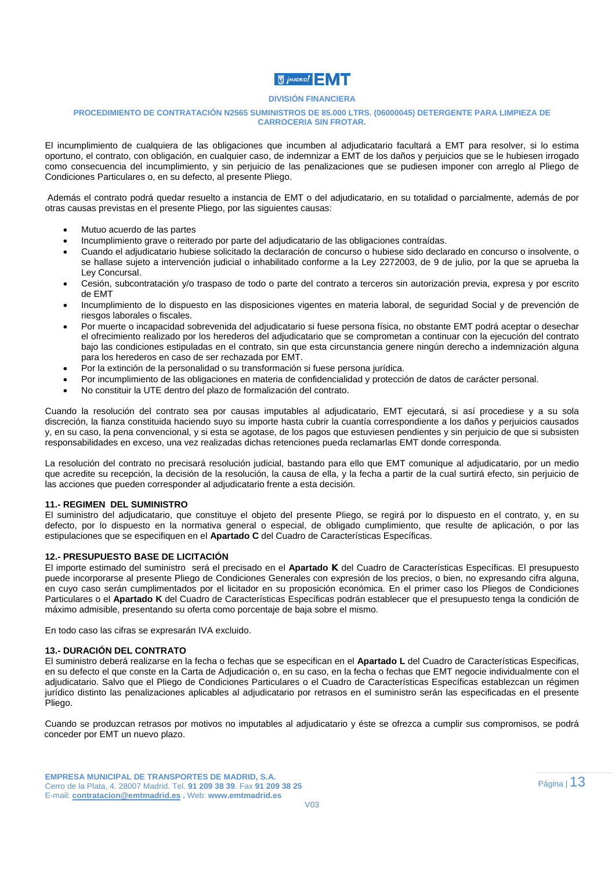### **同jMADRID!**

#### **DIVISIÓN FINANCIERA**

#### **PROCEDIMIENTO DE CONTRATACIÓN N2565 SUMINISTROS DE 85.000 LTRS. (06000045) DETERGENTE PARA LIMPIEZA DE CARROCERIA SIN FROTAR.**

El incumplimiento de cualquiera de las obligaciones que incumben al adjudicatario facultará a EMT para resolver, si lo estima oportuno, el contrato, con obligación, en cualquier caso, de indemnizar a EMT de los daños y perjuicios que se le hubiesen irrogado como consecuencia del incumplimiento, y sin perjuicio de las penalizaciones que se pudiesen imponer con arreglo al Pliego de Condiciones Particulares o, en su defecto, al presente Pliego.

 Además el contrato podrá quedar resuelto a instancia de EMT o del adjudicatario, en su totalidad o parcialmente, además de por otras causas previstas en el presente Pliego, por las siguientes causas:

- Mutuo acuerdo de las partes
- Incumplimiento grave o reiterado por parte del adjudicatario de las obligaciones contraídas.
- Cuando el adjudicatario hubiese solicitado la declaración de concurso o hubiese sido declarado en concurso o insolvente, o se hallase sujeto a intervención judicial o inhabilitado conforme a la Ley 2272003, de 9 de julio, por la que se aprueba la Ley Concursal.
- Cesión, subcontratación y/o traspaso de todo o parte del contrato a terceros sin autorización previa, expresa y por escrito de EMT
- Incumplimiento de lo dispuesto en las disposiciones vigentes en materia laboral, de seguridad Social y de prevención de riesgos laborales o fiscales.
- Por muerte o incapacidad sobrevenida del adjudicatario si fuese persona física, no obstante EMT podrá aceptar o desechar el ofrecimiento realizado por los herederos del adjudicatario que se comprometan a continuar con la ejecución del contrato bajo las condiciones estipuladas en el contrato, sin que esta circunstancia genere ningún derecho a indemnización alguna para los herederos en caso de ser rechazada por EMT.
- Por la extinción de la personalidad o su transformación si fuese persona jurídica.
- Por incumplimiento de las obligaciones en materia de confidencialidad y protección de datos de carácter personal.
- No constituir la UTE dentro del plazo de formalización del contrato.

Cuando la resolución del contrato sea por causas imputables al adjudicatario, EMT ejecutará, si así procediese y a su sola discreción, la fianza constituida haciendo suyo su importe hasta cubrir la cuantía correspondiente a los daños y perjuicios causados y, en su caso, la pena convencional, y si esta se agotase, de los pagos que estuviesen pendientes y sin perjuicio de que si subsisten responsabilidades en exceso, una vez realizadas dichas retenciones pueda reclamarlas EMT donde corresponda.

La resolución del contrato no precisará resolución judicial, bastando para ello que EMT comunique al adjudicatario, por un medio que acredite su recepción, la decisión de la resolución, la causa de ella, y la fecha a partir de la cual surtirá efecto, sin perjuicio de las acciones que pueden corresponder al adjudicatario frente a esta decisión.

#### **11.- REGIMEN DEL SUMINISTRO**

El suministro del adjudicatario, que constituye el objeto del presente Pliego, se regirá por lo dispuesto en el contrato, y, en su defecto, por lo dispuesto en la normativa general o especial, de obligado cumplimiento, que resulte de aplicación, o por las estipulaciones que se especifiquen en el **Apartado C** del Cuadro de Características Específicas.

#### **12.- PRESUPUESTO BASE DE LICITACIÓN**

El importe estimado del suministro será el precisado en el **Apartado K** del Cuadro de Características Específicas. El presupuesto puede incorporarse al presente Pliego de Condiciones Generales con expresión de los precios, o bien, no expresando cifra alguna, en cuyo caso serán cumplimentados por el licitador en su proposición económica. En el primer caso los Pliegos de Condiciones Particulares o el **Apartado K** del Cuadro de Características Específicas podrán establecer que el presupuesto tenga la condición de máximo admisible, presentando su oferta como porcentaje de baja sobre el mismo.

En todo caso las cifras se expresarán IVA excluido.

#### **13.- DURACIÓN DEL CONTRATO**

El suministro deberá realizarse en la fecha o fechas que se especifican en el **Apartado L** del Cuadro de Características Especificas, en su defecto el que conste en la Carta de Adjudicación o, en su caso, en la fecha o fechas que EMT negocie individualmente con el adjudicatario. Salvo que el Pliego de Condiciones Particulares o el Cuadro de Características Específicas establezcan un régimen jurídico distinto las penalizaciones aplicables al adjudicatario por retrasos en el suministro serán las especificadas en el presente Pliego.

Cuando se produzcan retrasos por motivos no imputables al adjudicatario y éste se ofrezca a cumplir sus compromisos, se podrá conceder por EMT un nuevo plazo.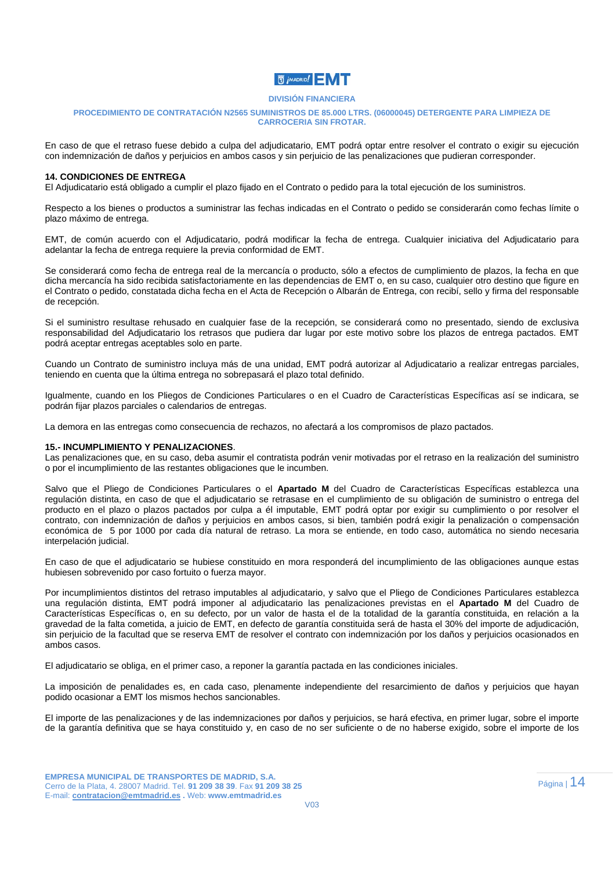### **N** *j* MADRID! N

#### **DIVISIÓN FINANCIERA**

#### **PROCEDIMIENTO DE CONTRATACIÓN N2565 SUMINISTROS DE 85.000 LTRS. (06000045) DETERGENTE PARA LIMPIEZA DE CARROCERIA SIN FROTAR.**

En caso de que el retraso fuese debido a culpa del adjudicatario, EMT podrá optar entre resolver el contrato o exigir su ejecución con indemnización de daños y perjuicios en ambos casos y sin perjuicio de las penalizaciones que pudieran corresponder.

#### **14. CONDICIONES DE ENTREGA**

El Adjudicatario está obligado a cumplir el plazo fijado en el Contrato o pedido para la total ejecución de los suministros.

Respecto a los bienes o productos a suministrar las fechas indicadas en el Contrato o pedido se considerarán como fechas límite o plazo máximo de entrega.

EMT, de común acuerdo con el Adjudicatario, podrá modificar la fecha de entrega. Cualquier iniciativa del Adjudicatario para adelantar la fecha de entrega requiere la previa conformidad de EMT.

Se considerará como fecha de entrega real de la mercancía o producto, sólo a efectos de cumplimiento de plazos, la fecha en que dicha mercancía ha sido recibida satisfactoriamente en las dependencias de EMT o, en su caso, cualquier otro destino que figure en el Contrato o pedido, constatada dicha fecha en el Acta de Recepción o Albarán de Entrega, con recibí, sello y firma del responsable de recepción.

Si el suministro resultase rehusado en cualquier fase de la recepción, se considerará como no presentado, siendo de exclusiva responsabilidad del Adjudicatario los retrasos que pudiera dar lugar por este motivo sobre los plazos de entrega pactados. EMT podrá aceptar entregas aceptables solo en parte.

Cuando un Contrato de suministro incluya más de una unidad, EMT podrá autorizar al Adjudicatario a realizar entregas parciales, teniendo en cuenta que la última entrega no sobrepasará el plazo total definido.

Igualmente, cuando en los Pliegos de Condiciones Particulares o en el Cuadro de Características Específicas así se indicara, se podrán fijar plazos parciales o calendarios de entregas.

La demora en las entregas como consecuencia de rechazos, no afectará a los compromisos de plazo pactados.

#### **15.- INCUMPLIMIENTO Y PENALIZACIONES**.

Las penalizaciones que, en su caso, deba asumir el contratista podrán venir motivadas por el retraso en la realización del suministro o por el incumplimiento de las restantes obligaciones que le incumben.

Salvo que el Pliego de Condiciones Particulares o el **Apartado M** del Cuadro de Características Específicas establezca una regulación distinta, en caso de que el adjudicatario se retrasase en el cumplimiento de su obligación de suministro o entrega del producto en el plazo o plazos pactados por culpa a él imputable, EMT podrá optar por exigir su cumplimiento o por resolver el contrato, con indemnización de daños y perjuicios en ambos casos, si bien, también podrá exigir la penalización o compensación económica de 5 por 1000 por cada día natural de retraso. La mora se entiende, en todo caso, automática no siendo necesaria interpelación judicial.

En caso de que el adjudicatario se hubiese constituido en mora responderá del incumplimiento de las obligaciones aunque estas hubiesen sobrevenido por caso fortuito o fuerza mayor.

Por incumplimientos distintos del retraso imputables al adjudicatario, y salvo que el Pliego de Condiciones Particulares establezca una regulación distinta, EMT podrá imponer al adjudicatario las penalizaciones previstas en el **Apartado M** del Cuadro de Características Específicas o, en su defecto, por un valor de hasta el de la totalidad de la garantía constituida, en relación a la gravedad de la falta cometida, a juicio de EMT, en defecto de garantía constituida será de hasta el 30% del importe de adjudicación, sin perjuicio de la facultad que se reserva EMT de resolver el contrato con indemnización por los daños y perjuicios ocasionados en ambos casos.

El adjudicatario se obliga, en el primer caso, a reponer la garantía pactada en las condiciones iniciales.

La imposición de penalidades es, en cada caso, plenamente independiente del resarcimiento de daños y perjuicios que hayan podido ocasionar a EMT los mismos hechos sancionables.

El importe de las penalizaciones y de las indemnizaciones por daños y perjuicios, se hará efectiva, en primer lugar, sobre el importe de la garantía definitiva que se haya constituido y, en caso de no ser suficiente o de no haberse exigido, sobre el importe de los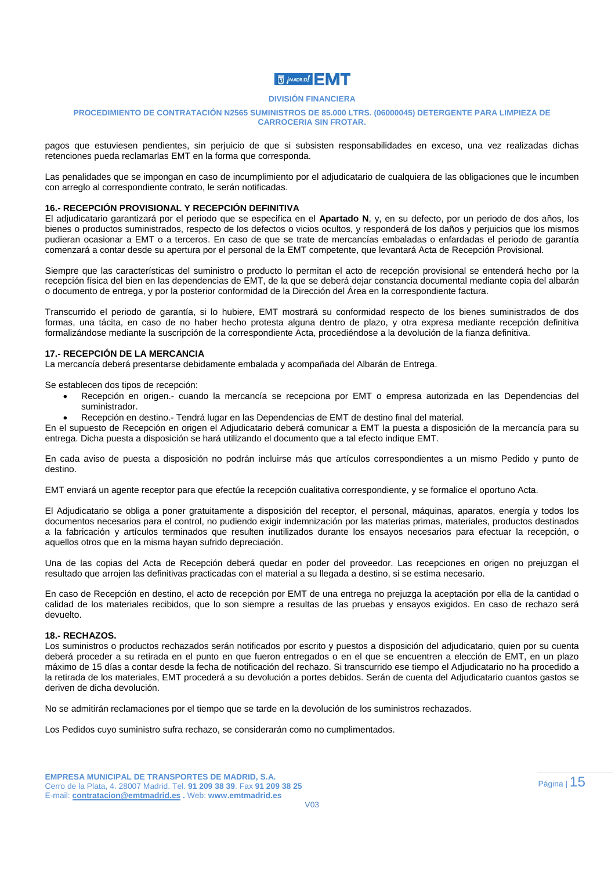

#### **PROCEDIMIENTO DE CONTRATACIÓN N2565 SUMINISTROS DE 85.000 LTRS. (06000045) DETERGENTE PARA LIMPIEZA DE CARROCERIA SIN FROTAR.**

pagos que estuviesen pendientes, sin perjuicio de que si subsisten responsabilidades en exceso, una vez realizadas dichas retenciones pueda reclamarlas EMT en la forma que corresponda.

Las penalidades que se impongan en caso de incumplimiento por el adjudicatario de cualquiera de las obligaciones que le incumben con arreglo al correspondiente contrato, le serán notificadas.

#### **16.- RECEPCIÓN PROVISIONAL Y RECEPCIÓN DEFINITIVA**

El adjudicatario garantizará por el periodo que se especifica en el **Apartado N**, y, en su defecto, por un periodo de dos años, los bienes o productos suministrados, respecto de los defectos o vicios ocultos, y responderá de los daños y perjuicios que los mismos pudieran ocasionar a EMT o a terceros. En caso de que se trate de mercancías embaladas o enfardadas el periodo de garantía comenzará a contar desde su apertura por el personal de la EMT competente, que levantará Acta de Recepción Provisional.

Siempre que las características del suministro o producto lo permitan el acto de recepción provisional se entenderá hecho por la recepción física del bien en las dependencias de EMT, de la que se deberá dejar constancia documental mediante copia del albarán o documento de entrega, y por la posterior conformidad de la Dirección del Área en la correspondiente factura.

Transcurrido el periodo de garantía, si lo hubiere, EMT mostrará su conformidad respecto de los bienes suministrados de dos formas, una tácita, en caso de no haber hecho protesta alguna dentro de plazo, y otra expresa mediante recepción definitiva formalizándose mediante la suscripción de la correspondiente Acta, procediéndose a la devolución de la fianza definitiva.

#### **17.- RECEPCIÓN DE LA MERCANCIA**

La mercancía deberá presentarse debidamente embalada y acompañada del Albarán de Entrega.

Se establecen dos tipos de recepción:

- Recepción en origen.- cuando la mercancía se recepciona por EMT o empresa autorizada en las Dependencias del suministrador.
- Recepción en destino.- Tendrá lugar en las Dependencias de EMT de destino final del material.

En el supuesto de Recepción en origen el Adjudicatario deberá comunicar a EMT la puesta a disposición de la mercancía para su entrega. Dicha puesta a disposición se hará utilizando el documento que a tal efecto indique EMT.

En cada aviso de puesta a disposición no podrán incluirse más que artículos correspondientes a un mismo Pedido y punto de destino.

EMT enviará un agente receptor para que efectúe la recepción cualitativa correspondiente, y se formalice el oportuno Acta.

El Adjudicatario se obliga a poner gratuitamente a disposición del receptor, el personal, máquinas, aparatos, energía y todos los documentos necesarios para el control, no pudiendo exigir indemnización por las materias primas, materiales, productos destinados a la fabricación y artículos terminados que resulten inutilizados durante los ensayos necesarios para efectuar la recepción, o aquellos otros que en la misma hayan sufrido depreciación.

Una de las copias del Acta de Recepción deberá quedar en poder del proveedor. Las recepciones en origen no prejuzgan el resultado que arrojen las definitivas practicadas con el material a su llegada a destino, si se estima necesario.

En caso de Recepción en destino, el acto de recepción por EMT de una entrega no prejuzga la aceptación por ella de la cantidad o calidad de los materiales recibidos, que lo son siempre a resultas de las pruebas y ensayos exigidos. En caso de rechazo será devuelto.

#### **18.- RECHAZOS.**

Los suministros o productos rechazados serán notificados por escrito y puestos a disposición del adjudicatario, quien por su cuenta deberá proceder a su retirada en el punto en que fueron entregados o en el que se encuentren a elección de EMT, en un plazo máximo de 15 días a contar desde la fecha de notificación del rechazo. Si transcurrido ese tiempo el Adjudicatario no ha procedido a la retirada de los materiales, EMT procederá a su devolución a portes debidos. Serán de cuenta del Adjudicatario cuantos gastos se deriven de dicha devolución.

No se admitirán reclamaciones por el tiempo que se tarde en la devolución de los suministros rechazados.

Los Pedidos cuyo suministro sufra rechazo, se considerarán como no cumplimentados.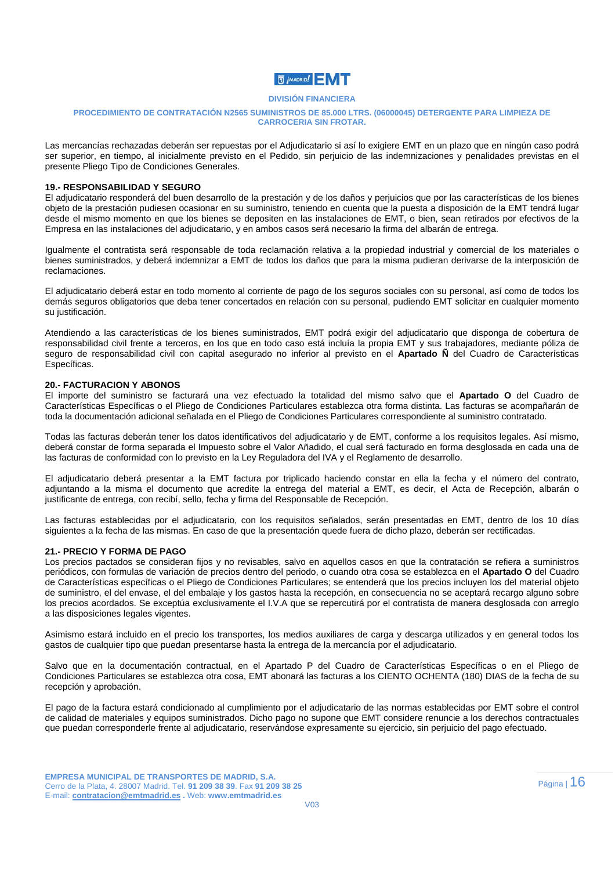

#### **PROCEDIMIENTO DE CONTRATACIÓN N2565 SUMINISTROS DE 85.000 LTRS. (06000045) DETERGENTE PARA LIMPIEZA DE CARROCERIA SIN FROTAR.**

Las mercancías rechazadas deberán ser repuestas por el Adjudicatario si así lo exigiere EMT en un plazo que en ningún caso podrá ser superior, en tiempo, al inicialmente previsto en el Pedido, sin perjuicio de las indemnizaciones y penalidades previstas en el presente Pliego Tipo de Condiciones Generales.

#### **19.- RESPONSABILIDAD Y SEGURO**

El adjudicatario responderá del buen desarrollo de la prestación y de los daños y perjuicios que por las características de los bienes objeto de la prestación pudiesen ocasionar en su suministro, teniendo en cuenta que la puesta a disposición de la EMT tendrá lugar desde el mismo momento en que los bienes se depositen en las instalaciones de EMT, o bien, sean retirados por efectivos de la Empresa en las instalaciones del adjudicatario, y en ambos casos será necesario la firma del albarán de entrega.

Igualmente el contratista será responsable de toda reclamación relativa a la propiedad industrial y comercial de los materiales o bienes suministrados, y deberá indemnizar a EMT de todos los daños que para la misma pudieran derivarse de la interposición de reclamaciones.

El adjudicatario deberá estar en todo momento al corriente de pago de los seguros sociales con su personal, así como de todos los demás seguros obligatorios que deba tener concertados en relación con su personal, pudiendo EMT solicitar en cualquier momento su justificación.

Atendiendo a las características de los bienes suministrados, EMT podrá exigir del adjudicatario que disponga de cobertura de responsabilidad civil frente a terceros, en los que en todo caso está incluía la propia EMT y sus trabajadores, mediante póliza de seguro de responsabilidad civil con capital asegurado no inferior al previsto en el **Apartado Ñ** del Cuadro de Características Específicas.

#### **20.- FACTURACION Y ABONOS**

El importe del suministro se facturará una vez efectuado la totalidad del mismo salvo que el **Apartado O** del Cuadro de Características Específicas o el Pliego de Condiciones Particulares establezca otra forma distinta. Las facturas se acompañarán de toda la documentación adicional señalada en el Pliego de Condiciones Particulares correspondiente al suministro contratado.

Todas las facturas deberán tener los datos identificativos del adjudicatario y de EMT, conforme a los requisitos legales. Así mismo, deberá constar de forma separada el Impuesto sobre el Valor Añadido, el cual será facturado en forma desglosada en cada una de las facturas de conformidad con lo previsto en la Ley Reguladora del IVA y el Reglamento de desarrollo.

El adjudicatario deberá presentar a la EMT factura por triplicado haciendo constar en ella la fecha y el número del contrato, adjuntando a la misma el documento que acredite la entrega del material a EMT, es decir, el Acta de Recepción, albarán o justificante de entrega, con recibí, sello, fecha y firma del Responsable de Recepción.

Las facturas establecidas por el adjudicatario, con los requisitos señalados, serán presentadas en EMT, dentro de los 10 días siguientes a la fecha de las mismas. En caso de que la presentación quede fuera de dicho plazo, deberán ser rectificadas.

#### **21.- PRECIO Y FORMA DE PAGO**

Los precios pactados se consideran fijos y no revisables, salvo en aquellos casos en que la contratación se refiera a suministros periódicos, con formulas de variación de precios dentro del periodo, o cuando otra cosa se establezca en el **Apartado O** del Cuadro de Características específicas o el Pliego de Condiciones Particulares; se entenderá que los precios incluyen los del material objeto de suministro, el del envase, el del embalaje y los gastos hasta la recepción, en consecuencia no se aceptará recargo alguno sobre los precios acordados. Se exceptúa exclusivamente el I.V.A que se repercutirá por el contratista de manera desglosada con arreglo a las disposiciones legales vigentes.

Asimismo estará incluido en el precio los transportes, los medios auxiliares de carga y descarga utilizados y en general todos los gastos de cualquier tipo que puedan presentarse hasta la entrega de la mercancía por el adjudicatario.

Salvo que en la documentación contractual, en el Apartado P del Cuadro de Características Específicas o en el Pliego de Condiciones Particulares se establezca otra cosa, EMT abonará las facturas a los CIENTO OCHENTA (180) DIAS de la fecha de su recepción y aprobación.

El pago de la factura estará condicionado al cumplimiento por el adjudicatario de las normas establecidas por EMT sobre el control de calidad de materiales y equipos suministrados. Dicho pago no supone que EMT considere renuncie a los derechos contractuales que puedan corresponderle frente al adjudicatario, reservándose expresamente su ejercicio, sin perjuicio del pago efectuado.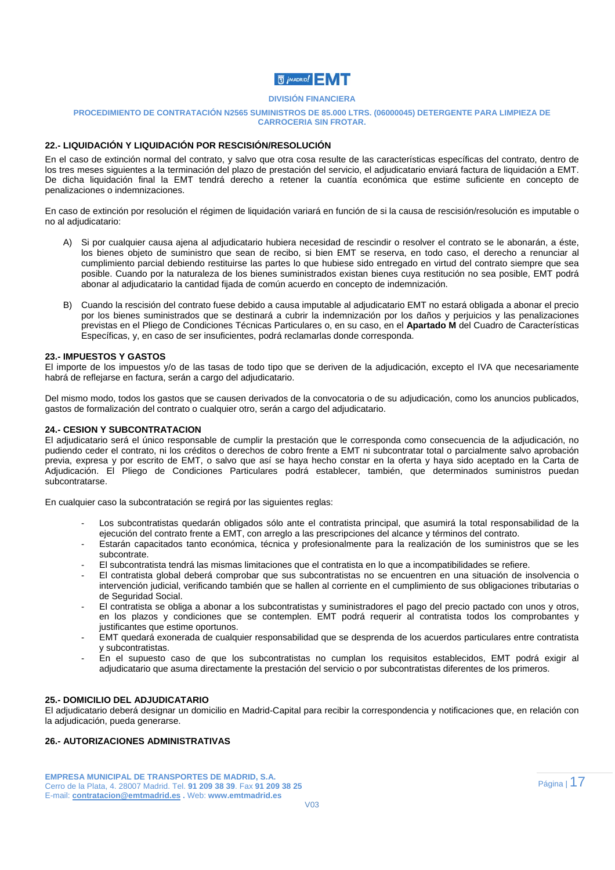

#### **PROCEDIMIENTO DE CONTRATACIÓN N2565 SUMINISTROS DE 85.000 LTRS. (06000045) DETERGENTE PARA LIMPIEZA DE CARROCERIA SIN FROTAR.**

#### **22.- LIQUIDACIÓN Y LIQUIDACIÓN POR RESCISIÓN/RESOLUCIÓN**

En el caso de extinción normal del contrato, y salvo que otra cosa resulte de las características específicas del contrato, dentro de los tres meses siguientes a la terminación del plazo de prestación del servicio, el adjudicatario enviará factura de liquidación a EMT. De dicha liquidación final la EMT tendrá derecho a retener la cuantía económica que estime suficiente en concepto de penalizaciones o indemnizaciones.

En caso de extinción por resolución el régimen de liquidación variará en función de si la causa de rescisión/resolución es imputable o no al adjudicatario:

- A) Si por cualquier causa ajena al adjudicatario hubiera necesidad de rescindir o resolver el contrato se le abonarán, a éste, los bienes objeto de suministro que sean de recibo, si bien EMT se reserva, en todo caso, el derecho a renunciar al cumplimiento parcial debiendo restituirse las partes lo que hubiese sido entregado en virtud del contrato siempre que sea posible. Cuando por la naturaleza de los bienes suministrados existan bienes cuya restitución no sea posible, EMT podrá abonar al adjudicatario la cantidad fijada de común acuerdo en concepto de indemnización.
- B) Cuando la rescisión del contrato fuese debido a causa imputable al adjudicatario EMT no estará obligada a abonar el precio por los bienes suministrados que se destinará a cubrir la indemnización por los daños y perjuicios y las penalizaciones previstas en el Pliego de Condiciones Técnicas Particulares o, en su caso, en el **Apartado M** del Cuadro de Características Específicas, y, en caso de ser insuficientes, podrá reclamarlas donde corresponda.

#### **23.- IMPUESTOS Y GASTOS**

El importe de los impuestos y/o de las tasas de todo tipo que se deriven de la adjudicación, excepto el IVA que necesariamente habrá de reflejarse en factura, serán a cargo del adjudicatario.

Del mismo modo, todos los gastos que se causen derivados de la convocatoria o de su adjudicación, como los anuncios publicados, gastos de formalización del contrato o cualquier otro, serán a cargo del adjudicatario.

#### **24.- CESION Y SUBCONTRATACION**

El adjudicatario será el único responsable de cumplir la prestación que le corresponda como consecuencia de la adjudicación, no pudiendo ceder el contrato, ni los créditos o derechos de cobro frente a EMT ni subcontratar total o parcialmente salvo aprobación previa, expresa y por escrito de EMT, o salvo que así se haya hecho constar en la oferta y haya sido aceptado en la Carta de Adjudicación. El Pliego de Condiciones Particulares podrá establecer, también, que determinados suministros puedan subcontratarse.

En cualquier caso la subcontratación se regirá por las siguientes reglas:

- Los subcontratistas quedarán obligados sólo ante el contratista principal, que asumirá la total responsabilidad de la ejecución del contrato frente a EMT, con arreglo a las prescripciones del alcance y términos del contrato.
- Estarán capacitados tanto económica, técnica y profesionalmente para la realización de los suministros que se les subcontrate.
- El subcontratista tendrá las mismas limitaciones que el contratista en lo que a incompatibilidades se refiere.
- El contratista global deberá comprobar que sus subcontratistas no se encuentren en una situación de insolvencia o intervención judicial, verificando también que se hallen al corriente en el cumplimiento de sus obligaciones tributarias o de Seguridad Social.
- El contratista se obliga a abonar a los subcontratistas y suministradores el pago del precio pactado con unos y otros, en los plazos y condiciones que se contemplen. EMT podrá requerir al contratista todos los comprobantes y justificantes que estime oportunos.
- EMT quedará exonerada de cualquier responsabilidad que se desprenda de los acuerdos particulares entre contratista y subcontratistas.
- En el supuesto caso de que los subcontratistas no cumplan los requisitos establecidos, EMT podrá exigir al adjudicatario que asuma directamente la prestación del servicio o por subcontratistas diferentes de los primeros.

#### **25.- DOMICILIO DEL ADJUDICATARIO**

El adjudicatario deberá designar un domicilio en Madrid-Capital para recibir la correspondencia y notificaciones que, en relación con la adjudicación, pueda generarse.

#### **26.- AUTORIZACIONES ADMINISTRATIVAS**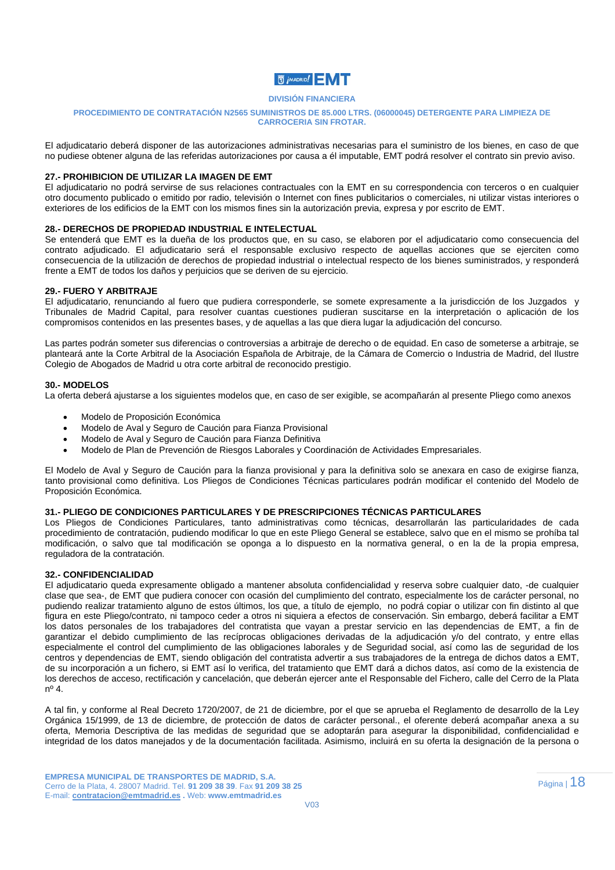

#### **PROCEDIMIENTO DE CONTRATACIÓN N2565 SUMINISTROS DE 85.000 LTRS. (06000045) DETERGENTE PARA LIMPIEZA DE CARROCERIA SIN FROTAR.**

El adjudicatario deberá disponer de las autorizaciones administrativas necesarias para el suministro de los bienes, en caso de que no pudiese obtener alguna de las referidas autorizaciones por causa a él imputable, EMT podrá resolver el contrato sin previo aviso.

#### **27.- PROHIBICION DE UTILIZAR LA IMAGEN DE EMT**

El adjudicatario no podrá servirse de sus relaciones contractuales con la EMT en su correspondencia con terceros o en cualquier otro documento publicado o emitido por radio, televisión o Internet con fines publicitarios o comerciales, ni utilizar vistas interiores o exteriores de los edificios de la EMT con los mismos fines sin la autorización previa, expresa y por escrito de EMT.

#### **28.- DERECHOS DE PROPIEDAD INDUSTRIAL E INTELECTUAL**

Se entenderá que EMT es la dueña de los productos que, en su caso, se elaboren por el adjudicatario como consecuencia del contrato adjudicado. El adjudicatario será el responsable exclusivo respecto de aquellas acciones que se ejerciten como consecuencia de la utilización de derechos de propiedad industrial o intelectual respecto de los bienes suministrados, y responderá frente a EMT de todos los daños y perjuicios que se deriven de su ejercicio.

#### **29.- FUERO Y ARBITRAJE**

El adjudicatario, renunciando al fuero que pudiera corresponderle, se somete expresamente a la jurisdicción de los Juzgados y Tribunales de Madrid Capital, para resolver cuantas cuestiones pudieran suscitarse en la interpretación o aplicación de los compromisos contenidos en las presentes bases, y de aquellas a las que diera lugar la adjudicación del concurso.

Las partes podrán someter sus diferencias o controversias a arbitraje de derecho o de equidad. En caso de someterse a arbitraje, se planteará ante la Corte Arbitral de la Asociación Española de Arbitraje, de la Cámara de Comercio o Industria de Madrid, del Ilustre Colegio de Abogados de Madrid u otra corte arbitral de reconocido prestigio.

#### **30.- MODELOS**

La oferta deberá ajustarse a los siguientes modelos que, en caso de ser exigible, se acompañarán al presente Pliego como anexos

- Modelo de Proposición Económica
- Modelo de Aval y Seguro de Caución para Fianza Provisional
- Modelo de Aval y Seguro de Caución para Fianza Definitiva
- Modelo de Plan de Prevención de Riesgos Laborales y Coordinación de Actividades Empresariales.

El Modelo de Aval y Seguro de Caución para la fianza provisional y para la definitiva solo se anexara en caso de exigirse fianza, tanto provisional como definitiva. Los Pliegos de Condiciones Técnicas particulares podrán modificar el contenido del Modelo de Proposición Económica.

#### **31.- PLIEGO DE CONDICIONES PARTICULARES Y DE PRESCRIPCIONES TÉCNICAS PARTICULARES**

Los Pliegos de Condiciones Particulares, tanto administrativas como técnicas, desarrollarán las particularidades de cada procedimiento de contratación, pudiendo modificar lo que en este Pliego General se establece, salvo que en el mismo se prohíba tal modificación, o salvo que tal modificación se oponga a lo dispuesto en la normativa general, o en la de la propia empresa, reguladora de la contratación.

#### **32.- CONFIDENCIALIDAD**

El adjudicatario queda expresamente obligado a mantener absoluta confidencialidad y reserva sobre cualquier dato, -de cualquier clase que sea-, de EMT que pudiera conocer con ocasión del cumplimiento del contrato, especialmente los de carácter personal, no pudiendo realizar tratamiento alguno de estos últimos, los que, a título de ejemplo, no podrá copiar o utilizar con fin distinto al que figura en este Pliego/contrato, ni tampoco ceder a otros ni siquiera a efectos de conservación. Sin embargo, deberá facilitar a EMT los datos personales de los trabajadores del contratista que vayan a prestar servicio en las dependencias de EMT, a fin de garantizar el debido cumplimiento de las recíprocas obligaciones derivadas de la adjudicación y/o del contrato, y entre ellas especialmente el control del cumplimiento de las obligaciones laborales y de Seguridad social, así como las de seguridad de los centros y dependencias de EMT, siendo obligación del contratista advertir a sus trabajadores de la entrega de dichos datos a EMT, de su incorporación a un fichero, si EMT así lo verifica, del tratamiento que EMT dará a dichos datos, así como de la existencia de los derechos de acceso, rectificación y cancelación, que deberán ejercer ante el Responsable del Fichero, calle del Cerro de la Plata nº 4.

A tal fin, y conforme al Real Decreto 1720/2007, de 21 de diciembre, por el que se aprueba el Reglamento de desarrollo de la Ley Orgánica 15/1999, de 13 de diciembre, de protección de datos de carácter personal., el oferente deberá acompañar anexa a su oferta, Memoria Descriptiva de las medidas de seguridad que se adoptarán para asegurar la disponibilidad, confidencialidad e integridad de los datos manejados y de la documentación facilitada. Asimismo, incluirá en su oferta la designación de la persona o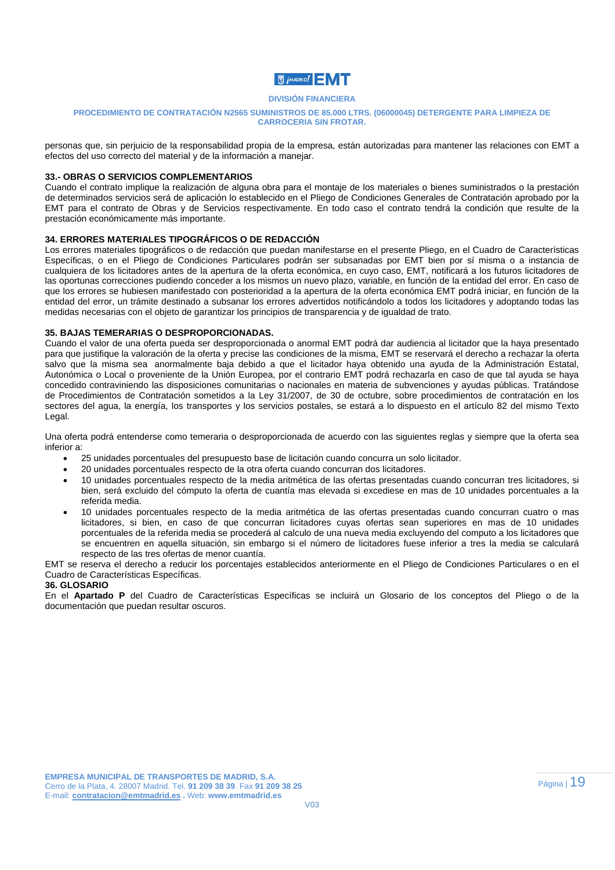

#### **PROCEDIMIENTO DE CONTRATACIÓN N2565 SUMINISTROS DE 85.000 LTRS. (06000045) DETERGENTE PARA LIMPIEZA DE CARROCERIA SIN FROTAR.**

personas que, sin perjuicio de la responsabilidad propia de la empresa, están autorizadas para mantener las relaciones con EMT a efectos del uso correcto del material y de la información a manejar.

#### **33.- OBRAS O SERVICIOS COMPLEMENTARIOS**

Cuando el contrato implique la realización de alguna obra para el montaje de los materiales o bienes suministrados o la prestación de determinados servicios será de aplicación lo establecido en el Pliego de Condiciones Generales de Contratación aprobado por la EMT para el contrato de Obras y de Servicios respectivamente. En todo caso el contrato tendrá la condición que resulte de la prestación económicamente más importante.

#### **34. ERRORES MATERIALES TIPOGRÁFICOS O DE REDACCIÓN**

Los errores materiales tipográficos o de redacción que puedan manifestarse en el presente Pliego, en el Cuadro de Características Específicas, o en el Pliego de Condiciones Particulares podrán ser subsanadas por EMT bien por sí misma o a instancia de cualquiera de los licitadores antes de la apertura de la oferta económica, en cuyo caso, EMT, notificará a los futuros licitadores de las oportunas correcciones pudiendo conceder a los mismos un nuevo plazo, variable, en función de la entidad del error. En caso de que los errores se hubiesen manifestado con posterioridad a la apertura de la oferta económica EMT podrá iniciar, en función de la entidad del error, un trámite destinado a subsanar los errores advertidos notificándolo a todos los licitadores y adoptando todas las medidas necesarias con el objeto de garantizar los principios de transparencia y de igualdad de trato.

#### **35. BAJAS TEMERARIAS O DESPROPORCIONADAS.**

Cuando el valor de una oferta pueda ser desproporcionada o anormal EMT podrá dar audiencia al licitador que la haya presentado para que justifique la valoración de la oferta y precise las condiciones de la misma, EMT se reservará el derecho a rechazar la oferta salvo que la misma sea anormalmente baja debido a que el licitador haya obtenido una ayuda de la Administración Estatal, Autonómica o Local o proveniente de la Unión Europea, por el contrario EMT podrá rechazarla en caso de que tal ayuda se haya concedido contraviniendo las disposiciones comunitarias o nacionales en materia de subvenciones y ayudas públicas. Tratándose de Procedimientos de Contratación sometidos a la Ley 31/2007, de 30 de octubre, sobre procedimientos de contratación en los sectores del agua, la energía, los transportes y los servicios postales, se estará a lo dispuesto en el artículo 82 del mismo Texto Legal.

Una oferta podrá entenderse como temeraria o desproporcionada de acuerdo con las siguientes reglas y siempre que la oferta sea inferior a:

- 25 unidades porcentuales del presupuesto base de licitación cuando concurra un solo licitador.
- 20 unidades porcentuales respecto de la otra oferta cuando concurran dos licitadores.
- 10 unidades porcentuales respecto de la media aritmética de las ofertas presentadas cuando concurran tres licitadores, si bien, será excluido del cómputo la oferta de cuantía mas elevada si excediese en mas de 10 unidades porcentuales a la referida media.
- 10 unidades porcentuales respecto de la media aritmética de las ofertas presentadas cuando concurran cuatro o mas licitadores, si bien, en caso de que concurran licitadores cuyas ofertas sean superiores en mas de 10 unidades porcentuales de la referida media se procederá al calculo de una nueva media excluyendo del computo a los licitadores que se encuentren en aquella situación, sin embargo si el número de licitadores fuese inferior a tres la media se calculará respecto de las tres ofertas de menor cuantía.

EMT se reserva el derecho a reducir los porcentajes establecidos anteriormente en el Pliego de Condiciones Particulares o en el Cuadro de Características Específicas.

#### **36. GLOSARIO**

En el **Apartado P** del Cuadro de Características Específicas se incluirá un Glosario de los conceptos del Pliego o de la documentación que puedan resultar oscuros.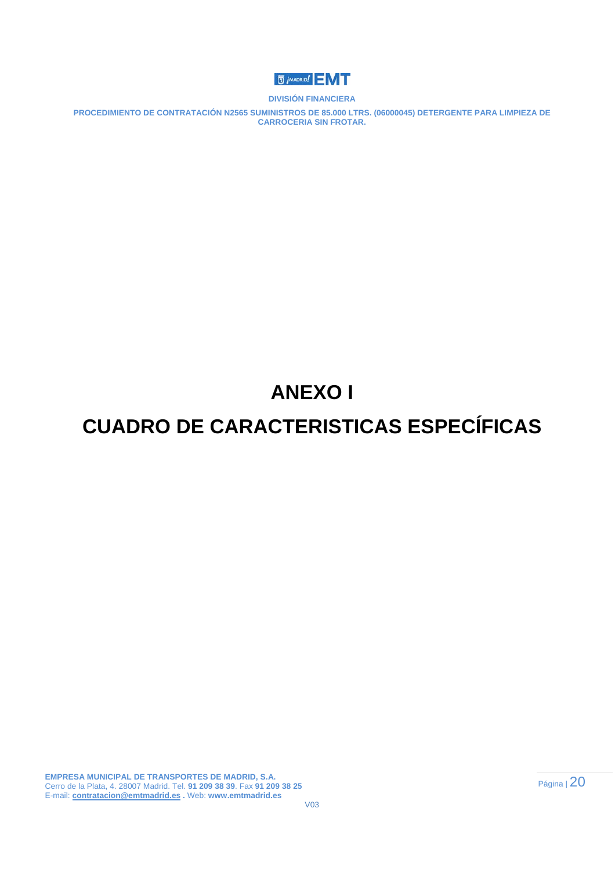

**PROCEDIMIENTO DE CONTRATACIÓN N2565 SUMINISTROS DE 85.000 LTRS. (06000045) DETERGENTE PARA LIMPIEZA DE CARROCERIA SIN FROTAR.** 

# **ANEXO I**

## **CUADRO DE CARACTERISTICAS ESPECÍFICAS**

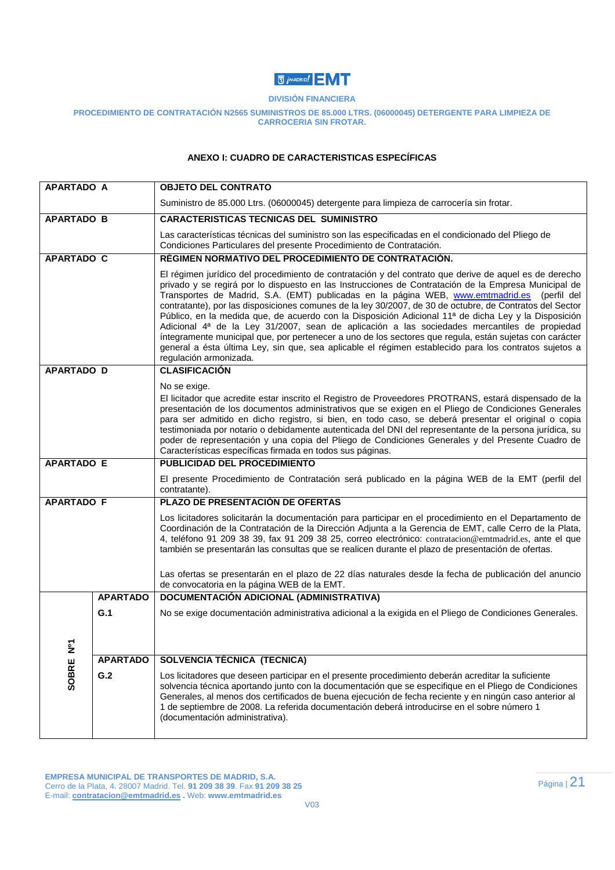## **U** *j* MADRID!

#### **DIVISIÓN FINANCIERA**

#### **PROCEDIMIENTO DE CONTRATACIÓN N2565 SUMINISTROS DE 85.000 LTRS. (06000045) DETERGENTE PARA LIMPIEZA DE CARROCERIA SIN FROTAR.**

#### **ANEXO I: CUADRO DE CARACTERISTICAS ESPECÍFICAS**

| <b>APARTADO A</b> |                 | <b>OBJETO DEL CONTRATO</b>                                                                                                                                                                                                                                                                                                                                                                                                                                                                                                                                                                                                                                                                                                                                                                                                                                                      |
|-------------------|-----------------|---------------------------------------------------------------------------------------------------------------------------------------------------------------------------------------------------------------------------------------------------------------------------------------------------------------------------------------------------------------------------------------------------------------------------------------------------------------------------------------------------------------------------------------------------------------------------------------------------------------------------------------------------------------------------------------------------------------------------------------------------------------------------------------------------------------------------------------------------------------------------------|
|                   |                 | Suministro de 85.000 Ltrs. (06000045) detergente para limpieza de carrocería sin frotar.                                                                                                                                                                                                                                                                                                                                                                                                                                                                                                                                                                                                                                                                                                                                                                                        |
| <b>APARTADO B</b> |                 | <b>CARACTERISTICAS TECNICAS DEL SUMINISTRO</b>                                                                                                                                                                                                                                                                                                                                                                                                                                                                                                                                                                                                                                                                                                                                                                                                                                  |
|                   |                 | Las características técnicas del suministro son las especificadas en el condicionado del Pliego de<br>Condiciones Particulares del presente Procedimiento de Contratación.                                                                                                                                                                                                                                                                                                                                                                                                                                                                                                                                                                                                                                                                                                      |
| <b>APARTADO C</b> |                 | RÉGIMEN NORMATIVO DEL PROCEDIMIENTO DE CONTRATACIÓN.                                                                                                                                                                                                                                                                                                                                                                                                                                                                                                                                                                                                                                                                                                                                                                                                                            |
|                   |                 | El régimen jurídico del procedimiento de contratación y del contrato que derive de aquel es de derecho<br>privado y se regirá por lo dispuesto en las Instrucciones de Contratación de la Empresa Municipal de<br>Transportes de Madrid, S.A. (EMT) publicadas en la página WEB, www.emtmadrid.es (perfil del<br>contratante), por las disposiciones comunes de la ley 30/2007, de 30 de octubre, de Contratos del Sector<br>Público, en la medida que, de acuerdo con la Disposición Adicional 11ª de dicha Ley y la Disposición<br>Adicional 4ª de la Ley 31/2007, sean de aplicación a las sociedades mercantiles de propiedad<br>íntegramente municipal que, por pertenecer a uno de los sectores que regula, están sujetas con carácter<br>general a ésta última Ley, sin que, sea aplicable el régimen establecido para los contratos sujetos a<br>regulación armonizada. |
| <b>APARTADO D</b> |                 | <b>CLASIFICACIÓN</b>                                                                                                                                                                                                                                                                                                                                                                                                                                                                                                                                                                                                                                                                                                                                                                                                                                                            |
|                   |                 | No se exige.<br>El licitador que acredite estar inscrito el Registro de Proveedores PROTRANS, estará dispensado de la<br>presentación de los documentos administrativos que se exigen en el Pliego de Condiciones Generales                                                                                                                                                                                                                                                                                                                                                                                                                                                                                                                                                                                                                                                     |
|                   |                 | para ser admitido en dicho registro, si bien, en todo caso, se deberá presentar el original o copia<br>testimoniada por notario o debidamente autenticada del DNI del representante de la persona jurídica, su<br>poder de representación y una copia del Pliego de Condiciones Generales y del Presente Cuadro de<br>Características específicas firmada en todos sus páginas.                                                                                                                                                                                                                                                                                                                                                                                                                                                                                                 |
| <b>APARTADO E</b> |                 | <b>PUBLICIDAD DEL PROCEDIMIENTO</b>                                                                                                                                                                                                                                                                                                                                                                                                                                                                                                                                                                                                                                                                                                                                                                                                                                             |
|                   |                 | El presente Procedimiento de Contratación será publicado en la página WEB de la EMT (perfil del<br>contratante).                                                                                                                                                                                                                                                                                                                                                                                                                                                                                                                                                                                                                                                                                                                                                                |
| <b>APARTADO F</b> |                 | PLAZO DE PRESENTACIÓN DE OFERTAS                                                                                                                                                                                                                                                                                                                                                                                                                                                                                                                                                                                                                                                                                                                                                                                                                                                |
|                   |                 | Los licitadores solicitarán la documentación para participar en el procedimiento en el Departamento de<br>Coordinación de la Contratación de la Dirección Adjunta a la Gerencia de EMT, calle Cerro de la Plata,<br>4, teléfono 91 209 38 39, fax 91 209 38 25, correo electrónico: contratacion@emtmadrid.es, ante el que<br>también se presentarán las consultas que se realicen durante el plazo de presentación de ofertas.                                                                                                                                                                                                                                                                                                                                                                                                                                                 |
|                   |                 | Las ofertas se presentarán en el plazo de 22 días naturales desde la fecha de publicación del anuncio<br>de convocatoria en la página WEB de la EMT.                                                                                                                                                                                                                                                                                                                                                                                                                                                                                                                                                                                                                                                                                                                            |
|                   | <b>APARTADO</b> | DOCUMENTACIÓN ADICIONAL (ADMINISTRATIVA)                                                                                                                                                                                                                                                                                                                                                                                                                                                                                                                                                                                                                                                                                                                                                                                                                                        |
|                   | G.1             | No se exige documentación administrativa adicional a la exigida en el Pliego de Condiciones Generales.                                                                                                                                                                                                                                                                                                                                                                                                                                                                                                                                                                                                                                                                                                                                                                          |
|                   |                 |                                                                                                                                                                                                                                                                                                                                                                                                                                                                                                                                                                                                                                                                                                                                                                                                                                                                                 |
| ż                 |                 |                                                                                                                                                                                                                                                                                                                                                                                                                                                                                                                                                                                                                                                                                                                                                                                                                                                                                 |
|                   | <b>APARTADO</b> | SOLVENCIA TÉCNICA (TECNICA)                                                                                                                                                                                                                                                                                                                                                                                                                                                                                                                                                                                                                                                                                                                                                                                                                                                     |
| SOBRE             | G.2             | Los licitadores que deseen participar en el presente procedimiento deberán acreditar la suficiente<br>solvencia técnica aportando junto con la documentación que se especifique en el Pliego de Condiciones<br>Generales, al menos dos certificados de buena ejecución de fecha reciente y en ningún caso anterior al<br>1 de septiembre de 2008. La referida documentación deberá introducirse en el sobre número 1<br>(documentación administrativa).                                                                                                                                                                                                                                                                                                                                                                                                                         |
|                   |                 |                                                                                                                                                                                                                                                                                                                                                                                                                                                                                                                                                                                                                                                                                                                                                                                                                                                                                 |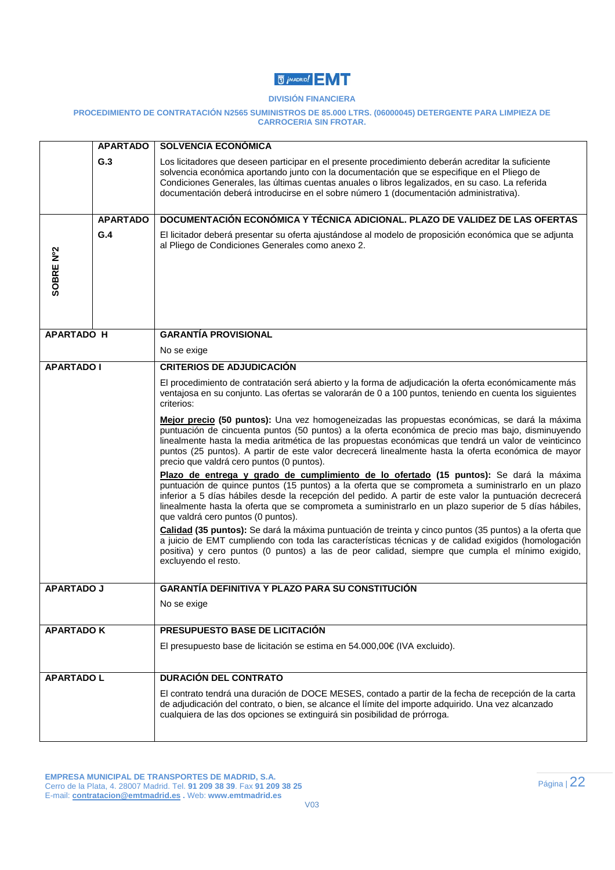## **U** *i* MADRID!

#### **DIVISIÓN FINANCIERA**

#### **PROCEDIMIENTO DE CONTRATACIÓN N2565 SUMINISTROS DE 85.000 LTRS. (06000045) DETERGENTE PARA LIMPIEZA DE CARROCERIA SIN FROTAR.**

|                   | <b>APARTADO</b> | <b>SOLVENCIA ECONÓMICA</b>                                                                                                                                                                                                                                                                                                                                                                                                                                      |
|-------------------|-----------------|-----------------------------------------------------------------------------------------------------------------------------------------------------------------------------------------------------------------------------------------------------------------------------------------------------------------------------------------------------------------------------------------------------------------------------------------------------------------|
|                   | G.3             | Los licitadores que deseen participar en el presente procedimiento deberán acreditar la suficiente<br>solvencia económica aportando junto con la documentación que se especifique en el Pliego de<br>Condiciones Generales, las últimas cuentas anuales o libros legalizados, en su caso. La referida<br>documentación deberá introducirse en el sobre número 1 (documentación administrativa).                                                                 |
|                   | <b>APARTADO</b> | DOCUMENTACIÓN ECONÓMICA Y TÉCNICA ADICIONAL. PLAZO DE VALIDEZ DE LAS OFERTAS                                                                                                                                                                                                                                                                                                                                                                                    |
| SOBRE Nº2         | G.4             | El licitador deberá presentar su oferta ajustándose al modelo de proposición económica que se adjunta<br>al Pliego de Condiciones Generales como anexo 2.                                                                                                                                                                                                                                                                                                       |
| <b>APARTADO H</b> |                 | <b>GARANTÍA PROVISIONAL</b>                                                                                                                                                                                                                                                                                                                                                                                                                                     |
|                   |                 | No se exige                                                                                                                                                                                                                                                                                                                                                                                                                                                     |
| <b>APARTADO I</b> |                 | <b>CRITERIOS DE ADJUDICACIÓN</b>                                                                                                                                                                                                                                                                                                                                                                                                                                |
|                   |                 | El procedimiento de contratación será abierto y la forma de adjudicación la oferta económicamente más<br>ventajosa en su conjunto. Las ofertas se valorarán de 0 a 100 puntos, teniendo en cuenta los siguientes<br>criterios:                                                                                                                                                                                                                                  |
|                   |                 | Mejor precio (50 puntos): Una vez homogeneizadas las propuestas económicas, se dará la máxima<br>puntuación de cincuenta puntos (50 puntos) a la oferta económica de precio mas bajo, disminuyendo<br>linealmente hasta la media aritmética de las propuestas económicas que tendrá un valor de veinticinco<br>puntos (25 puntos). A partir de este valor decrecerá linealmente hasta la oferta económica de mayor<br>precio que valdrá cero puntos (0 puntos). |
|                   |                 | Plazo de entrega y grado de cumplimiento de lo ofertado (15 puntos): Se dará la máxima<br>puntuación de quince puntos (15 puntos) a la oferta que se comprometa a suministrarlo en un plazo<br>inferior a 5 días hábiles desde la recepción del pedido. A partir de este valor la puntuación decrecerá<br>linealmente hasta la oferta que se comprometa a suministrarlo en un plazo superior de 5 días hábiles,<br>que valdrá cero puntos (0 puntos).           |
|                   |                 | Calidad (35 puntos): Se dará la máxima puntuación de treinta y cinco puntos (35 puntos) a la oferta que<br>a juicio de EMT cumpliendo con toda las características técnicas y de calidad exigidos (homologación<br>positiva) y cero puntos (0 puntos) a las de peor calidad, siempre que cumpla el mínimo exigido,<br>excluyendo el resto.                                                                                                                      |
| <b>APARTADO J</b> |                 | <b>GARANTÍA DEFINITIVA Y PLAZO PARA SU CONSTITUCIÓN</b>                                                                                                                                                                                                                                                                                                                                                                                                         |
|                   |                 | No se exige                                                                                                                                                                                                                                                                                                                                                                                                                                                     |
| <b>APARTADO K</b> |                 | PRESUPUESTO BASE DE LICITACIÓN                                                                                                                                                                                                                                                                                                                                                                                                                                  |
|                   |                 | El presupuesto base de licitación se estima en 54.000,00€ (IVA excluido).                                                                                                                                                                                                                                                                                                                                                                                       |
| <b>APARTADO L</b> |                 | <b>DURACIÓN DEL CONTRATO</b>                                                                                                                                                                                                                                                                                                                                                                                                                                    |
|                   |                 | El contrato tendrá una duración de DOCE MESES, contado a partir de la fecha de recepción de la carta<br>de adjudicación del contrato, o bien, se alcance el límite del importe adquirido. Una vez alcanzado<br>cualquiera de las dos opciones se extinguirá sin posibilidad de prórroga.                                                                                                                                                                        |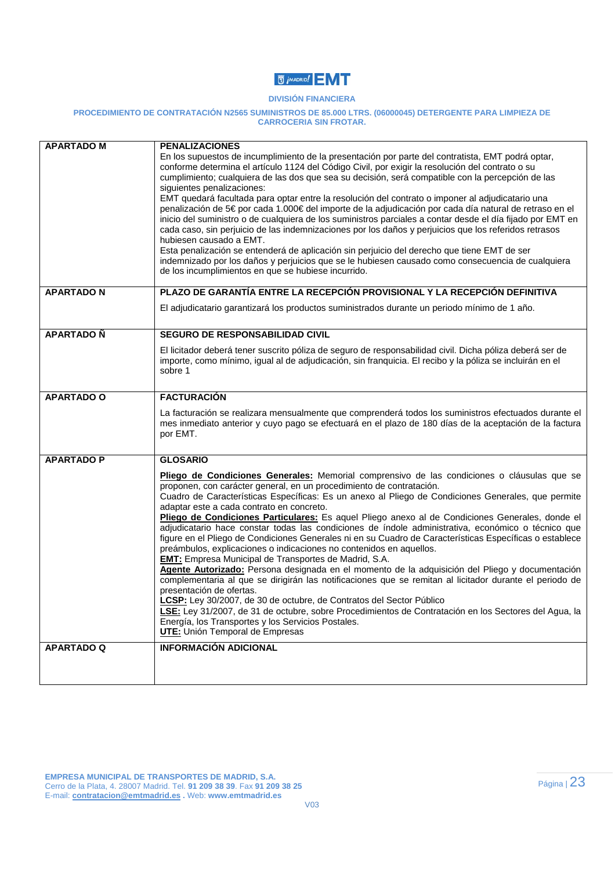## **U** *i* MADRID!

#### **DIVISIÓN FINANCIERA**

#### **PROCEDIMIENTO DE CONTRATACIÓN N2565 SUMINISTROS DE 85.000 LTRS. (06000045) DETERGENTE PARA LIMPIEZA DE CARROCERIA SIN FROTAR.**

| <b>APARTADO M</b> | <b>PENALIZACIONES</b>                                                                                                                                                                                                                                                                                                                                                                                                                                                                                                                                                                                                                                                                                                                                                                                                                                                                                                                                                                                                                                                                                                                                                                                                                                                                                       |
|-------------------|-------------------------------------------------------------------------------------------------------------------------------------------------------------------------------------------------------------------------------------------------------------------------------------------------------------------------------------------------------------------------------------------------------------------------------------------------------------------------------------------------------------------------------------------------------------------------------------------------------------------------------------------------------------------------------------------------------------------------------------------------------------------------------------------------------------------------------------------------------------------------------------------------------------------------------------------------------------------------------------------------------------------------------------------------------------------------------------------------------------------------------------------------------------------------------------------------------------------------------------------------------------------------------------------------------------|
|                   | En los supuestos de incumplimiento de la presentación por parte del contratista, EMT podrá optar,<br>conforme determina el artículo 1124 del Código Civil, por exigir la resolución del contrato o su<br>cumplimiento; cualquiera de las dos que sea su decisión, será compatible con la percepción de las<br>siguientes penalizaciones:                                                                                                                                                                                                                                                                                                                                                                                                                                                                                                                                                                                                                                                                                                                                                                                                                                                                                                                                                                    |
|                   | EMT quedará facultada para optar entre la resolución del contrato o imponer al adjudicatario una<br>penalización de 5€ por cada 1.000€ del importe de la adjudicación por cada día natural de retraso en el<br>inicio del suministro o de cualquiera de los suministros parciales a contar desde el día fijado por EMT en<br>cada caso, sin perjuicio de las indemnizaciones por los daños y perjuicios que los referidos retrasos<br>hubiesen causado a EMT.<br>Esta penalización se entenderá de aplicación sin perjuicio del derecho que tiene EMT de ser<br>indemnizado por los daños y perjuicios que se le hubiesen causado como consecuencia de cualquiera<br>de los incumplimientos en que se hubiese incurrido.                                                                                                                                                                                                                                                                                                                                                                                                                                                                                                                                                                                    |
| <b>APARTADO N</b> | PLAZO DE GARANTÍA ENTRE LA RECEPCIÓN PROVISIONAL Y LA RECEPCIÓN DEFINITIVA                                                                                                                                                                                                                                                                                                                                                                                                                                                                                                                                                                                                                                                                                                                                                                                                                                                                                                                                                                                                                                                                                                                                                                                                                                  |
|                   | El adjudicatario garantizará los productos suministrados durante un periodo mínimo de 1 año.                                                                                                                                                                                                                                                                                                                                                                                                                                                                                                                                                                                                                                                                                                                                                                                                                                                                                                                                                                                                                                                                                                                                                                                                                |
| <b>APARTADO Ñ</b> | SEGURO DE RESPONSABILIDAD CIVIL                                                                                                                                                                                                                                                                                                                                                                                                                                                                                                                                                                                                                                                                                                                                                                                                                                                                                                                                                                                                                                                                                                                                                                                                                                                                             |
|                   | El licitador deberá tener suscrito póliza de seguro de responsabilidad civil. Dicha póliza deberá ser de<br>importe, como mínimo, igual al de adjudicación, sin franquicia. El recibo y la póliza se incluirán en el<br>sobre 1                                                                                                                                                                                                                                                                                                                                                                                                                                                                                                                                                                                                                                                                                                                                                                                                                                                                                                                                                                                                                                                                             |
| <b>APARTADO O</b> | <b>FACTURACIÓN</b>                                                                                                                                                                                                                                                                                                                                                                                                                                                                                                                                                                                                                                                                                                                                                                                                                                                                                                                                                                                                                                                                                                                                                                                                                                                                                          |
|                   | La facturación se realizara mensualmente que comprenderá todos los suministros efectuados durante el<br>mes inmediato anterior y cuyo pago se efectuará en el plazo de 180 días de la aceptación de la factura<br>por EMT.                                                                                                                                                                                                                                                                                                                                                                                                                                                                                                                                                                                                                                                                                                                                                                                                                                                                                                                                                                                                                                                                                  |
| <b>APARTADO P</b> | <b>GLOSARIO</b>                                                                                                                                                                                                                                                                                                                                                                                                                                                                                                                                                                                                                                                                                                                                                                                                                                                                                                                                                                                                                                                                                                                                                                                                                                                                                             |
|                   | Pliego de Condiciones Generales: Memorial comprensivo de las condiciones o cláusulas que se<br>proponen, con carácter general, en un procedimiento de contratación.<br>Cuadro de Características Específicas: Es un anexo al Pliego de Condiciones Generales, que permite<br>adaptar este a cada contrato en concreto.<br>Pliego de Condiciones Particulares: Es aquel Pliego anexo al de Condiciones Generales, donde el<br>adjudicatario hace constar todas las condiciones de índole administrativa, económico o técnico que<br>figure en el Pliego de Condiciones Generales ni en su Cuadro de Características Específicas o establece<br>preámbulos, explicaciones o indicaciones no contenidos en aquellos.<br><b>EMT:</b> Empresa Municipal de Transportes de Madrid, S.A.<br>Agente Autorizado: Persona designada en el momento de la adquisición del Pliego y documentación<br>complementaria al que se dirigirán las notificaciones que se remitan al licitador durante el periodo de<br>presentación de ofertas.<br>CSP: Ley 30/2007, de 30 de octubre, de Contratos del Sector Público<br>LSE: Ley 31/2007, de 31 de octubre, sobre Procedimientos de Contratación en los Sectores del Agua, la<br>Energía, los Transportes y los Servicios Postales.<br><b>UTE:</b> Unión Temporal de Empresas |
| <b>APARTADO Q</b> | <b>INFORMACIÓN ADICIONAL</b>                                                                                                                                                                                                                                                                                                                                                                                                                                                                                                                                                                                                                                                                                                                                                                                                                                                                                                                                                                                                                                                                                                                                                                                                                                                                                |
|                   |                                                                                                                                                                                                                                                                                                                                                                                                                                                                                                                                                                                                                                                                                                                                                                                                                                                                                                                                                                                                                                                                                                                                                                                                                                                                                                             |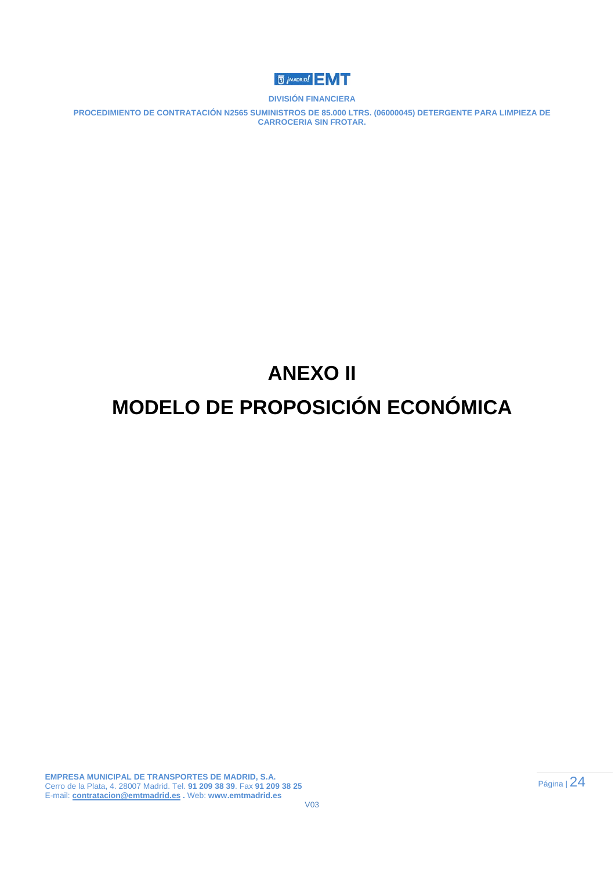

**PROCEDIMIENTO DE CONTRATACIÓN N2565 SUMINISTROS DE 85.000 LTRS. (06000045) DETERGENTE PARA LIMPIEZA DE CARROCERIA SIN FROTAR.** 

# **ANEXO II**

## **MODELO DE PROPOSICIÓN ECONÓMICA**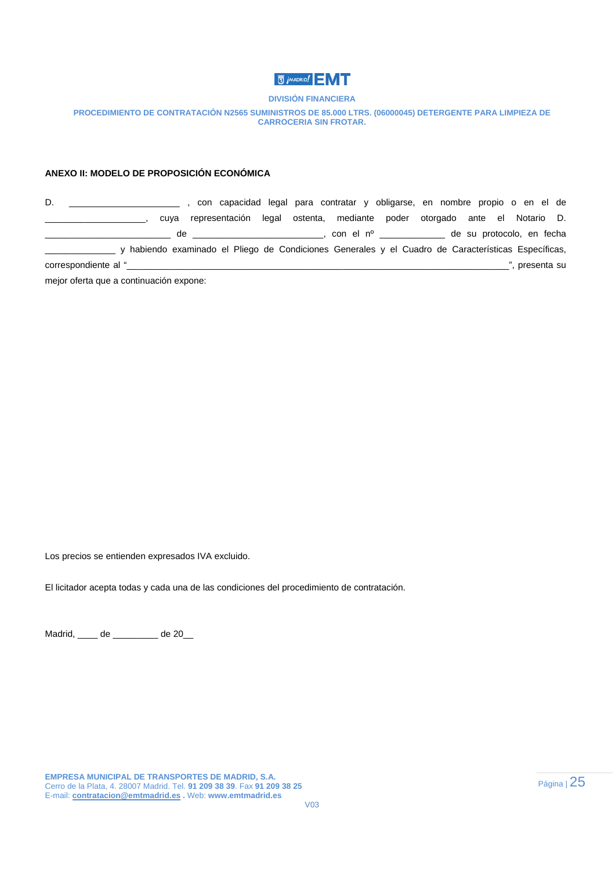

#### **PROCEDIMIENTO DE CONTRATACIÓN N2565 SUMINISTROS DE 85.000 LTRS. (06000045) DETERGENTE PARA LIMPIEZA DE CARROCERIA SIN FROTAR.**

#### **ANEXO II: MODELO DE PROPOSICIÓN ECONÓMICA**

D. \_\_\_\_\_\_\_\_\_\_\_\_\_\_\_\_\_\_\_\_\_\_ , con capacidad legal para contratar y obligarse, en nombre propio o en el de \_\_\_\_\_\_\_\_\_\_\_\_\_\_\_\_\_\_\_\_, cuya representación legal ostenta, mediante poder otorgado ante el Notario D. \_\_\_\_\_\_\_\_\_\_\_\_\_\_\_\_\_\_\_\_\_\_\_\_\_ de \_\_\_\_\_\_\_\_\_\_\_\_\_\_\_\_\_\_\_\_\_\_\_\_\_\_, con el nº \_\_\_\_\_\_\_\_\_\_\_\_\_ de su protocolo, en fecha \_\_\_\_\_\_\_\_\_\_\_\_\_\_ y habiendo examinado el Pliego de Condiciones Generales y el Cuadro de Características Específicas, correspondiente al "\_\_\_\_\_\_\_\_\_\_\_\_\_\_\_\_\_\_\_\_\_\_\_\_\_\_\_\_\_\_\_\_\_\_\_\_\_\_\_\_\_\_\_\_\_\_\_\_\_\_\_\_\_\_\_\_\_\_\_\_\_\_\_\_\_\_\_\_\_\_\_\_\_\_\_\_", presenta su

mejor oferta que a continuación expone:

Los precios se entienden expresados IVA excluido.

El licitador acepta todas y cada una de las condiciones del procedimiento de contratación.

Madrid, \_\_\_\_ de \_\_\_\_\_\_\_\_\_ de 20\_\_